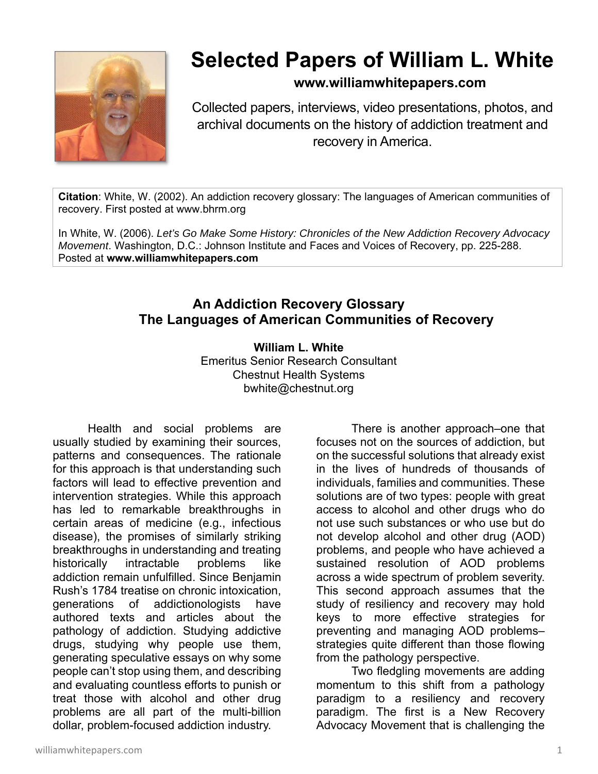

# **Selected Papers of William L. White**

## **www.williamwhitepapers.com**

Collected papers, interviews, video presentations, photos, and archival documents on the history of addiction treatment and recovery in America.

**Citation**: White, W. (2002). An addiction recovery glossary: The languages of American communities of recovery. First posted at www.bhrm.org

In White, W. (2006). *Let's Go Make Some History: Chronicles of the New Addiction Recovery Advocacy Movement*. Washington, D.C.: Johnson Institute and Faces and Voices of Recovery, pp. 225-288. Posted at **www.williamwhitepapers.com** 

# **An Addiction Recovery Glossary The Languages of American Communities of Recovery**

**William L. White**  Emeritus Senior Research Consultant Chestnut Health Systems

bwhite@chestnut.org

 Health and social problems are usually studied by examining their sources, patterns and consequences. The rationale for this approach is that understanding such factors will lead to effective prevention and intervention strategies. While this approach has led to remarkable breakthroughs in certain areas of medicine (e.g., infectious disease), the promises of similarly striking breakthroughs in understanding and treating historically intractable problems like addiction remain unfulfilled. Since Benjamin Rush's 1784 treatise on chronic intoxication, generations of addictionologists have authored texts and articles about the pathology of addiction. Studying addictive drugs, studying why people use them, generating speculative essays on why some people can't stop using them, and describing and evaluating countless efforts to punish or treat those with alcohol and other drug problems are all part of the multi-billion dollar, problem-focused addiction industry.

There is another approach–one that focuses not on the sources of addiction, but on the successful solutions that already exist in the lives of hundreds of thousands of individuals, families and communities. These solutions are of two types: people with great access to alcohol and other drugs who do not use such substances or who use but do not develop alcohol and other drug (AOD) problems, and people who have achieved a sustained resolution of AOD problems across a wide spectrum of problem severity. This second approach assumes that the study of resiliency and recovery may hold keys to more effective strategies for preventing and managing AOD problems– strategies quite different than those flowing from the pathology perspective.

Two fledgling movements are adding momentum to this shift from a pathology paradigm to a resiliency and recovery paradigm. The first is a New Recovery Advocacy Movement that is challenging the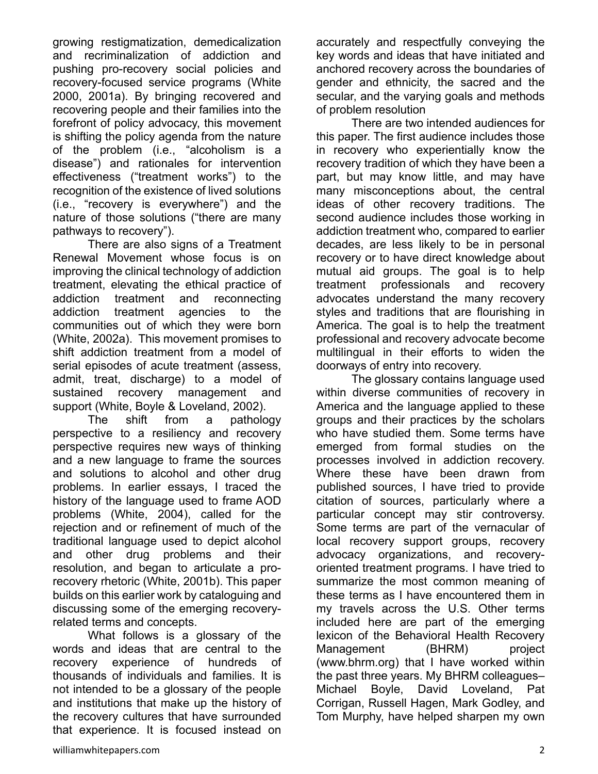growing restigmatization, demedicalization and recriminalization of addiction and pushing pro-recovery social policies and recovery-focused service programs (White 2000, 2001a). By bringing recovered and recovering people and their families into the forefront of policy advocacy, this movement is shifting the policy agenda from the nature of the problem (i.e., "alcoholism is a disease") and rationales for intervention effectiveness ("treatment works") to the recognition of the existence of lived solutions (i.e., "recovery is everywhere") and the nature of those solutions ("there are many pathways to recovery").

There are also signs of a Treatment Renewal Movement whose focus is on improving the clinical technology of addiction treatment, elevating the ethical practice of addiction treatment and reconnecting addiction treatment agencies to the communities out of which they were born (White, 2002a). This movement promises to shift addiction treatment from a model of serial episodes of acute treatment (assess, admit, treat, discharge) to a model of sustained recovery management and support (White, Boyle & Loveland, 2002).

The shift from a pathology perspective to a resiliency and recovery perspective requires new ways of thinking and a new language to frame the sources and solutions to alcohol and other drug problems. In earlier essays, I traced the history of the language used to frame AOD problems (White, 2004), called for the rejection and or refinement of much of the traditional language used to depict alcohol and other drug problems and their resolution, and began to articulate a prorecovery rhetoric (White, 2001b). This paper builds on this earlier work by cataloguing and discussing some of the emerging recoveryrelated terms and concepts.

What follows is a glossary of the words and ideas that are central to the recovery experience of hundreds of thousands of individuals and families. It is not intended to be a glossary of the people and institutions that make up the history of the recovery cultures that have surrounded that experience. It is focused instead on accurately and respectfully conveying the key words and ideas that have initiated and anchored recovery across the boundaries of gender and ethnicity, the sacred and the secular, and the varying goals and methods of problem resolution

 There are two intended audiences for this paper. The first audience includes those in recovery who experientially know the recovery tradition of which they have been a part, but may know little, and may have many misconceptions about, the central ideas of other recovery traditions. The second audience includes those working in addiction treatment who, compared to earlier decades, are less likely to be in personal recovery or to have direct knowledge about mutual aid groups. The goal is to help treatment professionals and recovery advocates understand the many recovery styles and traditions that are flourishing in America. The goal is to help the treatment professional and recovery advocate become multilingual in their efforts to widen the doorways of entry into recovery.

 The glossary contains language used within diverse communities of recovery in America and the language applied to these groups and their practices by the scholars who have studied them. Some terms have emerged from formal studies on the processes involved in addiction recovery. Where these have been drawn from published sources, I have tried to provide citation of sources, particularly where a particular concept may stir controversy. Some terms are part of the vernacular of local recovery support groups, recovery advocacy organizations, and recoveryoriented treatment programs. I have tried to summarize the most common meaning of these terms as I have encountered them in my travels across the U.S. Other terms included here are part of the emerging lexicon of the Behavioral Health Recovery Management (BHRM) project (www.bhrm.org) that I have worked within the past three years. My BHRM colleagues– Michael Boyle, David Loveland, Pat Corrigan, Russell Hagen, Mark Godley, and Tom Murphy, have helped sharpen my own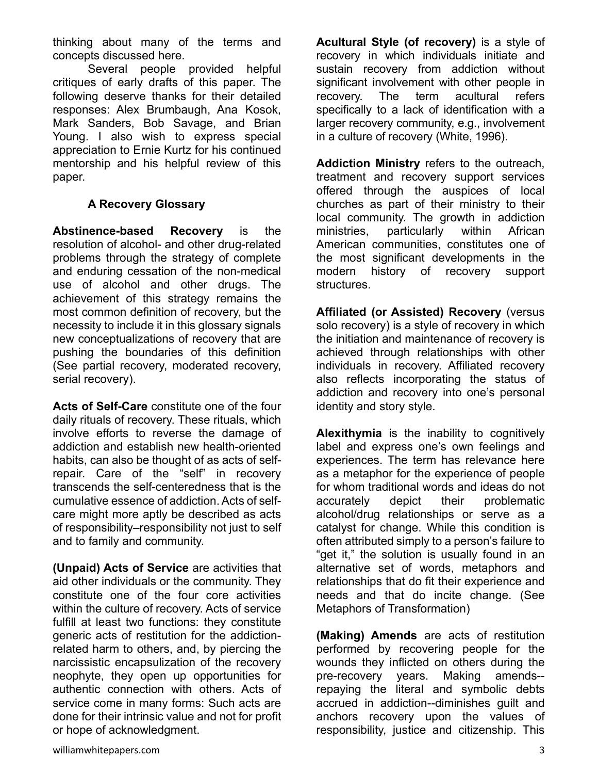thinking about many of the terms and concepts discussed here.

 Several people provided helpful critiques of early drafts of this paper. The following deserve thanks for their detailed responses: Alex Brumbaugh, Ana Kosok, Mark Sanders, Bob Savage, and Brian Young. I also wish to express special appreciation to Ernie Kurtz for his continued mentorship and his helpful review of this paper.

## **A Recovery Glossary**

**Abstinence-based Recovery** is the resolution of alcohol- and other drug-related problems through the strategy of complete and enduring cessation of the non-medical use of alcohol and other drugs. The achievement of this strategy remains the most common definition of recovery, but the necessity to include it in this glossary signals new conceptualizations of recovery that are pushing the boundaries of this definition (See partial recovery, moderated recovery, serial recovery).

**Acts of Self-Care** constitute one of the four daily rituals of recovery. These rituals, which involve efforts to reverse the damage of addiction and establish new health-oriented habits, can also be thought of as acts of selfrepair. Care of the "self" in recovery transcends the self-centeredness that is the cumulative essence of addiction. Acts of selfcare might more aptly be described as acts of responsibility–responsibility not just to self and to family and community.

**(Unpaid) Acts of Service** are activities that aid other individuals or the community. They constitute one of the four core activities within the culture of recovery. Acts of service fulfill at least two functions: they constitute generic acts of restitution for the addictionrelated harm to others, and, by piercing the narcissistic encapsulization of the recovery neophyte, they open up opportunities for authentic connection with others. Acts of service come in many forms: Such acts are done for their intrinsic value and not for profit or hope of acknowledgment.

**Acultural Style (of recovery)** is a style of recovery in which individuals initiate and sustain recovery from addiction without significant involvement with other people in recovery. The term acultural refers specifically to a lack of identification with a larger recovery community, e.g., involvement in a culture of recovery (White, 1996).

**Addiction Ministry** refers to the outreach, treatment and recovery support services offered through the auspices of local churches as part of their ministry to their local community. The growth in addiction ministries, particularly within African American communities, constitutes one of the most significant developments in the modern history of recovery support structures.

**Affiliated (or Assisted) Recovery** (versus solo recovery) is a style of recovery in which the initiation and maintenance of recovery is achieved through relationships with other individuals in recovery. Affiliated recovery also reflects incorporating the status of addiction and recovery into one's personal identity and story style.

**Alexithymia** is the inability to cognitively label and express one's own feelings and experiences. The term has relevance here as a metaphor for the experience of people for whom traditional words and ideas do not accurately depict their problematic alcohol/drug relationships or serve as a catalyst for change. While this condition is often attributed simply to a person's failure to "get it," the solution is usually found in an alternative set of words, metaphors and relationships that do fit their experience and needs and that do incite change. (See Metaphors of Transformation)

**(Making) Amends** are acts of restitution performed by recovering people for the wounds they inflicted on others during the pre-recovery years. Making amends- repaying the literal and symbolic debts accrued in addiction--diminishes guilt and anchors recovery upon the values of responsibility, justice and citizenship. This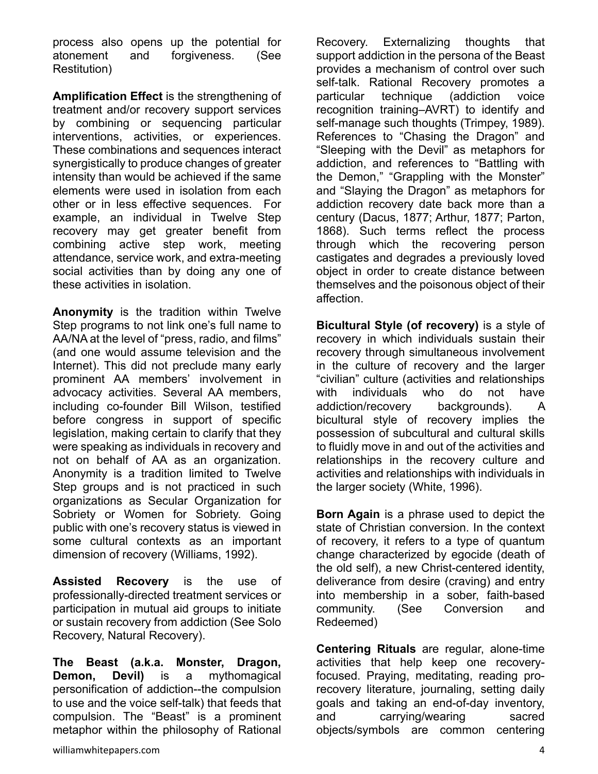process also opens up the potential for atonement and forgiveness. (See Restitution)

**Amplification Effect** is the strengthening of treatment and/or recovery support services by combining or sequencing particular interventions, activities, or experiences. These combinations and sequences interact synergistically to produce changes of greater intensity than would be achieved if the same elements were used in isolation from each other or in less effective sequences. For example, an individual in Twelve Step recovery may get greater benefit from combining active step work, meeting attendance, service work, and extra-meeting social activities than by doing any one of these activities in isolation.

**Anonymity** is the tradition within Twelve Step programs to not link one's full name to AA/NA at the level of "press, radio, and films" (and one would assume television and the Internet). This did not preclude many early prominent AA members' involvement in advocacy activities. Several AA members, including co-founder Bill Wilson, testified before congress in support of specific legislation, making certain to clarify that they were speaking as individuals in recovery and not on behalf of AA as an organization. Anonymity is a tradition limited to Twelve Step groups and is not practiced in such organizations as Secular Organization for Sobriety or Women for Sobriety. Going public with one's recovery status is viewed in some cultural contexts as an important dimension of recovery (Williams, 1992).

**Assisted Recovery** is the use of professionally-directed treatment services or participation in mutual aid groups to initiate or sustain recovery from addiction (See Solo Recovery, Natural Recovery).

**The Beast (a.k.a. Monster, Dragon, Demon, Devil)** is a mythomagical personification of addiction--the compulsion to use and the voice self-talk) that feeds that compulsion. The "Beast" is a prominent metaphor within the philosophy of Rational Recovery. Externalizing thoughts that support addiction in the persona of the Beast provides a mechanism of control over such self-talk. Rational Recovery promotes a particular technique (addiction voice recognition training–AVRT) to identify and self-manage such thoughts (Trimpey, 1989). References to "Chasing the Dragon" and "Sleeping with the Devil" as metaphors for addiction, and references to "Battling with the Demon," "Grappling with the Monster" and "Slaying the Dragon" as metaphors for addiction recovery date back more than a century (Dacus, 1877; Arthur, 1877; Parton, 1868). Such terms reflect the process through which the recovering person castigates and degrades a previously loved object in order to create distance between themselves and the poisonous object of their affection.

**Bicultural Style (of recovery)** is a style of recovery in which individuals sustain their recovery through simultaneous involvement in the culture of recovery and the larger "civilian" culture (activities and relationships with individuals who do not have addiction/recovery backgrounds). A bicultural style of recovery implies the possession of subcultural and cultural skills to fluidly move in and out of the activities and relationships in the recovery culture and activities and relationships with individuals in the larger society (White, 1996).

**Born Again** is a phrase used to depict the state of Christian conversion. In the context of recovery, it refers to a type of quantum change characterized by egocide (death of the old self), a new Christ-centered identity, deliverance from desire (craving) and entry into membership in a sober, faith-based community. (See Conversion and Redeemed)

**Centering Rituals** are regular, alone-time activities that help keep one recoveryfocused. Praying, meditating, reading prorecovery literature, journaling, setting daily goals and taking an end-of-day inventory, and carrying/wearing sacred objects/symbols are common centering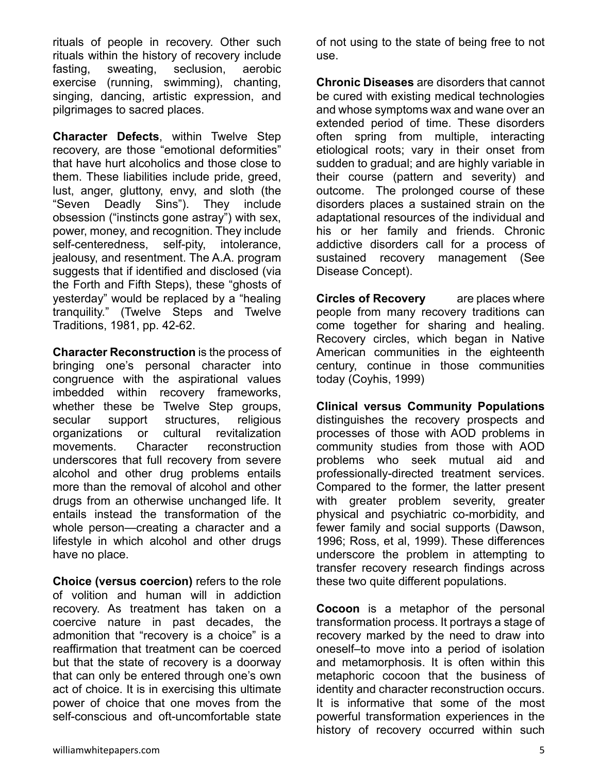rituals of people in recovery. Other such rituals within the history of recovery include fasting, sweating, seclusion, aerobic exercise (running, swimming), chanting, singing, dancing, artistic expression, and pilgrimages to sacred places.

**Character Defects**, within Twelve Step recovery, are those "emotional deformities" that have hurt alcoholics and those close to them. These liabilities include pride, greed, lust, anger, gluttony, envy, and sloth (the "Seven Deadly Sins"). They include obsession ("instincts gone astray") with sex, power, money, and recognition. They include self-centeredness, self-pity, intolerance, jealousy, and resentment. The A.A. program suggests that if identified and disclosed (via the Forth and Fifth Steps), these "ghosts of yesterday" would be replaced by a "healing tranquility." (Twelve Steps and Twelve Traditions, 1981, pp. 42-62.

**Character Reconstruction** is the process of bringing one's personal character into congruence with the aspirational values imbedded within recovery frameworks, whether these be Twelve Step groups, secular support structures, religious organizations or cultural revitalization movements. Character reconstruction underscores that full recovery from severe alcohol and other drug problems entails more than the removal of alcohol and other drugs from an otherwise unchanged life. It entails instead the transformation of the whole person—creating a character and a lifestyle in which alcohol and other drugs have no place.

**Choice (versus coercion)** refers to the role of volition and human will in addiction recovery. As treatment has taken on a coercive nature in past decades, the admonition that "recovery is a choice" is a reaffirmation that treatment can be coerced but that the state of recovery is a doorway that can only be entered through one's own act of choice. It is in exercising this ultimate power of choice that one moves from the self-conscious and oft-uncomfortable state

of not using to the state of being free to not use.

**Chronic Diseases** are disorders that cannot be cured with existing medical technologies and whose symptoms wax and wane over an extended period of time. These disorders often spring from multiple, interacting etiological roots; vary in their onset from sudden to gradual; and are highly variable in their course (pattern and severity) and outcome. The prolonged course of these disorders places a sustained strain on the adaptational resources of the individual and his or her family and friends. Chronic addictive disorders call for a process of sustained recovery management (See Disease Concept).

**Circles of Recovery** are places where people from many recovery traditions can come together for sharing and healing. Recovery circles, which began in Native American communities in the eighteenth century, continue in those communities today (Coyhis, 1999)

**Clinical versus Community Populations** distinguishes the recovery prospects and processes of those with AOD problems in community studies from those with AOD problems who seek mutual aid and professionally-directed treatment services. Compared to the former, the latter present with greater problem severity, greater physical and psychiatric co-morbidity, and fewer family and social supports (Dawson, 1996; Ross, et al, 1999). These differences underscore the problem in attempting to transfer recovery research findings across these two quite different populations.

**Cocoon** is a metaphor of the personal transformation process. It portrays a stage of recovery marked by the need to draw into oneself–to move into a period of isolation and metamorphosis. It is often within this metaphoric cocoon that the business of identity and character reconstruction occurs. It is informative that some of the most powerful transformation experiences in the history of recovery occurred within such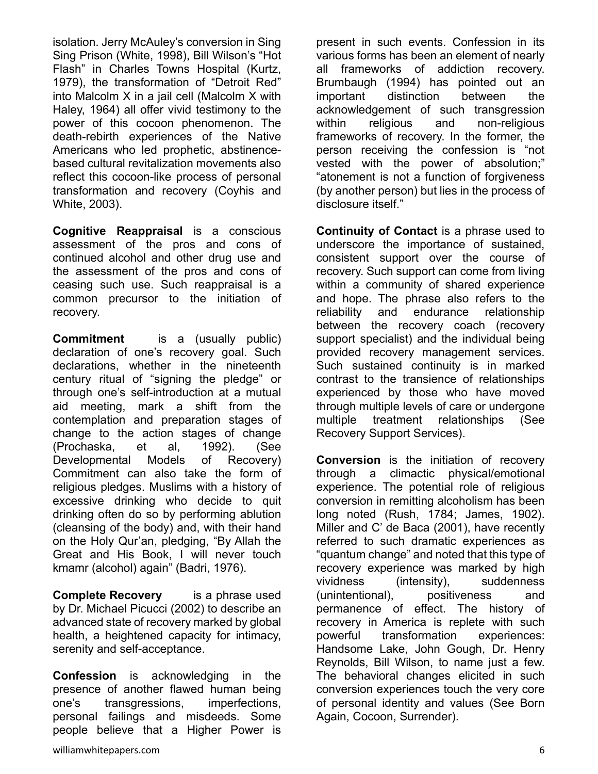isolation. Jerry McAuley's conversion in Sing Sing Prison (White, 1998), Bill Wilson's "Hot Flash" in Charles Towns Hospital (Kurtz, 1979), the transformation of "Detroit Red" into Malcolm X in a jail cell (Malcolm X with Haley, 1964) all offer vivid testimony to the power of this cocoon phenomenon. The death-rebirth experiences of the Native Americans who led prophetic, abstinencebased cultural revitalization movements also reflect this cocoon-like process of personal transformation and recovery (Coyhis and White, 2003).

**Cognitive Reappraisal** is a conscious assessment of the pros and cons of continued alcohol and other drug use and the assessment of the pros and cons of ceasing such use. Such reappraisal is a common precursor to the initiation of recovery.

**Commitment** is a (usually public) declaration of one's recovery goal. Such declarations, whether in the nineteenth century ritual of "signing the pledge" or through one's self-introduction at a mutual aid meeting, mark a shift from the contemplation and preparation stages of change to the action stages of change (Prochaska, et al, 1992). (See Developmental Models of Recovery) Commitment can also take the form of religious pledges. Muslims with a history of excessive drinking who decide to quit drinking often do so by performing ablution (cleansing of the body) and, with their hand on the Holy Qur'an, pledging, "By Allah the Great and His Book, I will never touch kmamr (alcohol) again" (Badri, 1976).

**Complete Recovery** is a phrase used by Dr. Michael Picucci (2002) to describe an advanced state of recovery marked by global health, a heightened capacity for intimacy, serenity and self-acceptance.

**Confession** is acknowledging in the presence of another flawed human being one's transgressions, imperfections, personal failings and misdeeds. Some people believe that a Higher Power is

present in such events. Confession in its various forms has been an element of nearly all frameworks of addiction recovery. Brumbaugh (1994) has pointed out an important distinction between the acknowledgement of such transgression within religious and non-religious frameworks of recovery. In the former, the person receiving the confession is "not vested with the power of absolution;" "atonement is not a function of forgiveness (by another person) but lies in the process of disclosure itself."

**Continuity of Contact** is a phrase used to underscore the importance of sustained, consistent support over the course of recovery. Such support can come from living within a community of shared experience and hope. The phrase also refers to the reliability and endurance relationship between the recovery coach (recovery support specialist) and the individual being provided recovery management services. Such sustained continuity is in marked contrast to the transience of relationships experienced by those who have moved through multiple levels of care or undergone multiple treatment relationships (See Recovery Support Services).

**Conversion** is the initiation of recovery through a climactic physical/emotional experience. The potential role of religious conversion in remitting alcoholism has been long noted (Rush, 1784; James, 1902). Miller and C' de Baca (2001), have recently referred to such dramatic experiences as "quantum change" and noted that this type of recovery experience was marked by high vividness (intensity), suddenness (unintentional), positiveness and permanence of effect. The history of recovery in America is replete with such powerful transformation experiences: Handsome Lake, John Gough, Dr. Henry Reynolds, Bill Wilson, to name just a few. The behavioral changes elicited in such conversion experiences touch the very core of personal identity and values (See Born Again, Cocoon, Surrender).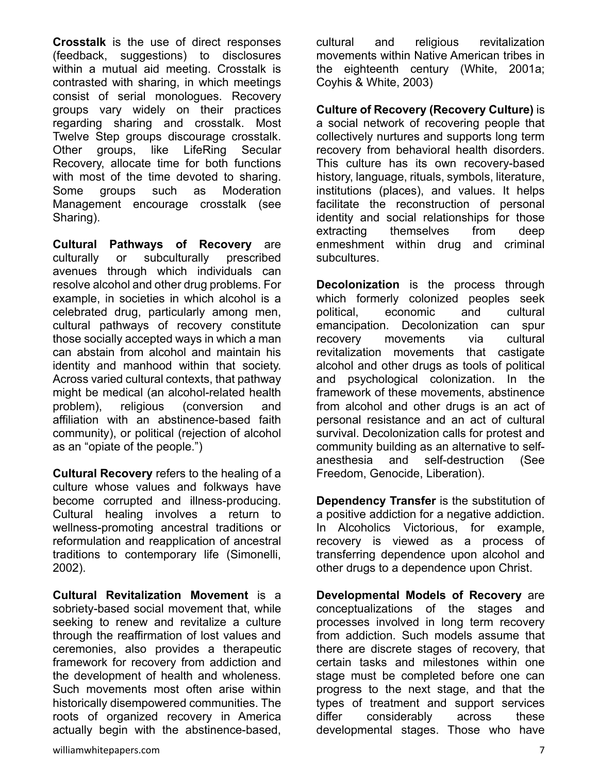**Crosstalk** is the use of direct responses (feedback, suggestions) to disclosures within a mutual aid meeting. Crosstalk is contrasted with sharing, in which meetings consist of serial monologues. Recovery groups vary widely on their practices regarding sharing and crosstalk. Most Twelve Step groups discourage crosstalk. Other groups, like LifeRing Secular Recovery, allocate time for both functions with most of the time devoted to sharing. Some groups such as Moderation Management encourage crosstalk (see Sharing).

**Cultural Pathways of Recovery** are culturally or subculturally prescribed avenues through which individuals can resolve alcohol and other drug problems. For example, in societies in which alcohol is a celebrated drug, particularly among men, cultural pathways of recovery constitute those socially accepted ways in which a man can abstain from alcohol and maintain his identity and manhood within that society. Across varied cultural contexts, that pathway might be medical (an alcohol-related health problem), religious (conversion and affiliation with an abstinence-based faith community), or political (rejection of alcohol as an "opiate of the people.")

**Cultural Recovery** refers to the healing of a culture whose values and folkways have become corrupted and illness-producing. Cultural healing involves a return to wellness-promoting ancestral traditions or reformulation and reapplication of ancestral traditions to contemporary life (Simonelli, 2002).

**Cultural Revitalization Movement** is a sobriety-based social movement that, while seeking to renew and revitalize a culture through the reaffirmation of lost values and ceremonies, also provides a therapeutic framework for recovery from addiction and the development of health and wholeness. Such movements most often arise within historically disempowered communities. The roots of organized recovery in America actually begin with the abstinence-based,

cultural and religious revitalization movements within Native American tribes in the eighteenth century (White, 2001a; Coyhis & White, 2003)

**Culture of Recovery (Recovery Culture)** is a social network of recovering people that collectively nurtures and supports long term recovery from behavioral health disorders. This culture has its own recovery-based history, language, rituals, symbols, literature, institutions (places), and values. It helps facilitate the reconstruction of personal identity and social relationships for those extracting themselves from deep enmeshment within drug and criminal subcultures.

**Decolonization** is the process through which formerly colonized peoples seek political, economic and cultural emancipation. Decolonization can spur recovery movements via cultural revitalization movements that castigate alcohol and other drugs as tools of political and psychological colonization. In the framework of these movements, abstinence from alcohol and other drugs is an act of personal resistance and an act of cultural survival. Decolonization calls for protest and community building as an alternative to selfanesthesia and self-destruction (See Freedom, Genocide, Liberation).

**Dependency Transfer** is the substitution of a positive addiction for a negative addiction. In Alcoholics Victorious, for example, recovery is viewed as a process of transferring dependence upon alcohol and other drugs to a dependence upon Christ.

**Developmental Models of Recovery** are conceptualizations of the stages and processes involved in long term recovery from addiction. Such models assume that there are discrete stages of recovery, that certain tasks and milestones within one stage must be completed before one can progress to the next stage, and that the types of treatment and support services differ considerably across these developmental stages. Those who have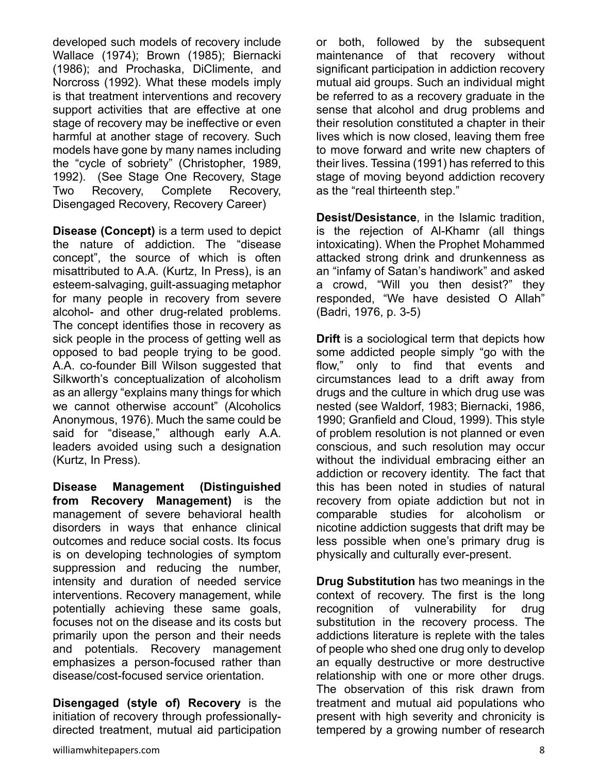developed such models of recovery include Wallace (1974); Brown (1985); Biernacki (1986); and Prochaska, DiClimente, and Norcross (1992). What these models imply is that treatment interventions and recovery support activities that are effective at one stage of recovery may be ineffective or even harmful at another stage of recovery. Such models have gone by many names including the "cycle of sobriety" (Christopher, 1989, 1992). (See Stage One Recovery, Stage Two Recovery, Complete Recovery, Disengaged Recovery, Recovery Career)

**Disease (Concept)** is a term used to depict the nature of addiction. The "disease concept", the source of which is often misattributed to A.A. (Kurtz, In Press), is an esteem-salvaging, guilt-assuaging metaphor for many people in recovery from severe alcohol- and other drug-related problems. The concept identifies those in recovery as sick people in the process of getting well as opposed to bad people trying to be good. A.A. co-founder Bill Wilson suggested that Silkworth's conceptualization of alcoholism as an allergy "explains many things for which we cannot otherwise account" (Alcoholics Anonymous, 1976). Much the same could be said for "disease," although early A.A. leaders avoided using such a designation (Kurtz, In Press).

**Disease Management (Distinguished from Recovery Management)** is the management of severe behavioral health disorders in ways that enhance clinical outcomes and reduce social costs. Its focus is on developing technologies of symptom suppression and reducing the number, intensity and duration of needed service interventions. Recovery management, while potentially achieving these same goals, focuses not on the disease and its costs but primarily upon the person and their needs and potentials. Recovery management emphasizes a person-focused rather than disease/cost-focused service orientation.

**Disengaged (style of) Recovery** is the initiation of recovery through professionallydirected treatment, mutual aid participation

their lives. Tessina (1991) has referred to this stage of moving beyond addiction recovery as the "real thirteenth step." **Desist/Desistance**, in the Islamic tradition, is the rejection of Al-Khamr (all things intoxicating). When the Prophet Mohammed attacked strong drink and drunkenness as an "infamy of Satan's handiwork" and asked a crowd, "Will you then desist?" they responded, "We have desisted O Allah"

(Badri, 1976, p. 3-5)

**Drift** is a sociological term that depicts how some addicted people simply "go with the flow," only to find that events and circumstances lead to a drift away from drugs and the culture in which drug use was nested (see Waldorf, 1983; Biernacki, 1986, 1990; Granfield and Cloud, 1999). This style of problem resolution is not planned or even conscious, and such resolution may occur without the individual embracing either an addiction or recovery identity. The fact that this has been noted in studies of natural recovery from opiate addiction but not in comparable studies for alcoholism or nicotine addiction suggests that drift may be less possible when one's primary drug is physically and culturally ever-present.

or both, followed by the subsequent maintenance of that recovery without significant participation in addiction recovery mutual aid groups. Such an individual might be referred to as a recovery graduate in the sense that alcohol and drug problems and their resolution constituted a chapter in their lives which is now closed, leaving them free to move forward and write new chapters of

**Drug Substitution** has two meanings in the context of recovery. The first is the long recognition of vulnerability for drug substitution in the recovery process. The addictions literature is replete with the tales of people who shed one drug only to develop an equally destructive or more destructive relationship with one or more other drugs. The observation of this risk drawn from treatment and mutual aid populations who present with high severity and chronicity is tempered by a growing number of research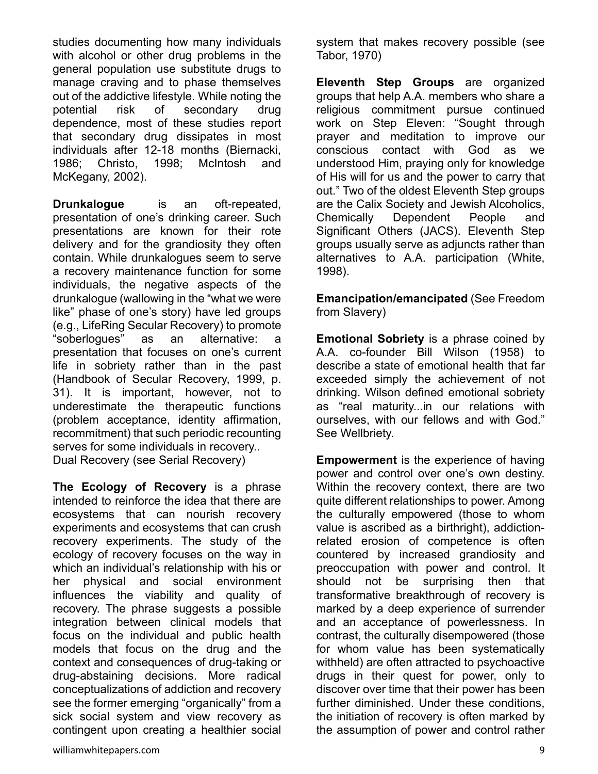studies documenting how many individuals with alcohol or other drug problems in the general population use substitute drugs to manage craving and to phase themselves out of the addictive lifestyle. While noting the potential risk of secondary drug dependence, most of these studies report that secondary drug dissipates in most individuals after 12-18 months (Biernacki, 1986; Christo, 1998; McIntosh and McKegany, 2002).

**Drunkalogue** is an oft-repeated, presentation of one's drinking career. Such presentations are known for their rote delivery and for the grandiosity they often contain. While drunkalogues seem to serve a recovery maintenance function for some individuals, the negative aspects of the drunkalogue (wallowing in the "what we were like" phase of one's story) have led groups (e.g., LifeRing Secular Recovery) to promote "soberlogues" as an alternative: a presentation that focuses on one's current life in sobriety rather than in the past (Handbook of Secular Recovery, 1999, p. 31). It is important, however, not to underestimate the therapeutic functions (problem acceptance, identity affirmation, recommitment) that such periodic recounting serves for some individuals in recovery.. Dual Recovery (see Serial Recovery)

**The Ecology of Recovery** is a phrase intended to reinforce the idea that there are ecosystems that can nourish recovery experiments and ecosystems that can crush recovery experiments. The study of the ecology of recovery focuses on the way in which an individual's relationship with his or her physical and social environment influences the viability and quality of recovery. The phrase suggests a possible integration between clinical models that focus on the individual and public health models that focus on the drug and the context and consequences of drug-taking or drug-abstaining decisions. More radical conceptualizations of addiction and recovery see the former emerging "organically" from a sick social system and view recovery as contingent upon creating a healthier social system that makes recovery possible (see Tabor, 1970)

**Eleventh Step Groups** are organized groups that help A.A. members who share a religious commitment pursue continued work on Step Eleven: "Sought through prayer and meditation to improve our conscious contact with God as we understood Him, praying only for knowledge of His will for us and the power to carry that out." Two of the oldest Eleventh Step groups are the Calix Society and Jewish Alcoholics, Chemically Dependent People and Significant Others (JACS). Eleventh Step groups usually serve as adjuncts rather than alternatives to A.A. participation (White, 1998).

**Emancipation/emancipated** (See Freedom from Slavery)

**Emotional Sobriety** is a phrase coined by A.A. co-founder Bill Wilson (1958) to describe a state of emotional health that far exceeded simply the achievement of not drinking. Wilson defined emotional sobriety as "real maturity...in our relations with ourselves, with our fellows and with God." See Wellbriety.

**Empowerment** is the experience of having power and control over one's own destiny. Within the recovery context, there are two quite different relationships to power. Among the culturally empowered (those to whom value is ascribed as a birthright), addictionrelated erosion of competence is often countered by increased grandiosity and preoccupation with power and control. It should not be surprising then that transformative breakthrough of recovery is marked by a deep experience of surrender and an acceptance of powerlessness. In contrast, the culturally disempowered (those for whom value has been systematically withheld) are often attracted to psychoactive drugs in their quest for power, only to discover over time that their power has been further diminished. Under these conditions, the initiation of recovery is often marked by the assumption of power and control rather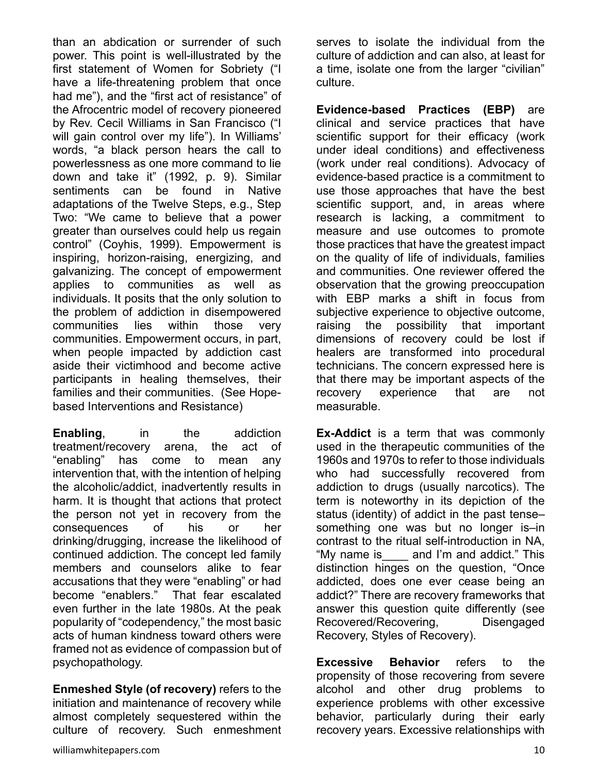than an abdication or surrender of such power. This point is well-illustrated by the first statement of Women for Sobriety ("I have a life-threatening problem that once had me"), and the "first act of resistance" of the Afrocentric model of recovery pioneered by Rev. Cecil Williams in San Francisco ("I will gain control over my life"). In Williams' words, "a black person hears the call to powerlessness as one more command to lie down and take it" (1992, p. 9). Similar sentiments can be found in Native adaptations of the Twelve Steps, e.g., Step Two: "We came to believe that a power greater than ourselves could help us regain control" (Coyhis, 1999). Empowerment is inspiring, horizon-raising, energizing, and galvanizing. The concept of empowerment applies to communities as well as individuals. It posits that the only solution to the problem of addiction in disempowered communities lies within those very communities. Empowerment occurs, in part, when people impacted by addiction cast aside their victimhood and become active participants in healing themselves, their families and their communities. (See Hopebased Interventions and Resistance)

**Enabling**, in the addiction treatment/recovery arena, the act of "enabling" has come to mean any intervention that, with the intention of helping the alcoholic/addict, inadvertently results in harm. It is thought that actions that protect the person not yet in recovery from the consequences of his or her drinking/drugging, increase the likelihood of continued addiction. The concept led family members and counselors alike to fear accusations that they were "enabling" or had become "enablers." That fear escalated even further in the late 1980s. At the peak popularity of "codependency," the most basic acts of human kindness toward others were framed not as evidence of compassion but of psychopathology.

**Enmeshed Style (of recovery)** refers to the initiation and maintenance of recovery while almost completely sequestered within the culture of recovery. Such enmeshment serves to isolate the individual from the culture of addiction and can also, at least for a time, isolate one from the larger "civilian" culture.

**Evidence-based Practices (EBP)** are clinical and service practices that have scientific support for their efficacy (work under ideal conditions) and effectiveness (work under real conditions). Advocacy of evidence-based practice is a commitment to use those approaches that have the best scientific support, and, in areas where research is lacking, a commitment to measure and use outcomes to promote those practices that have the greatest impact on the quality of life of individuals, families and communities. One reviewer offered the observation that the growing preoccupation with EBP marks a shift in focus from subjective experience to objective outcome, raising the possibility that important dimensions of recovery could be lost if healers are transformed into procedural technicians. The concern expressed here is that there may be important aspects of the recovery experience that are not measurable.

**Ex-Addict** is a term that was commonly used in the therapeutic communities of the 1960s and 1970s to refer to those individuals who had successfully recovered from addiction to drugs (usually narcotics). The term is noteworthy in its depiction of the status (identity) of addict in the past tense– something one was but no longer is–in contrast to the ritual self-introduction in NA, "My name is\_\_\_\_ and I'm and addict." This distinction hinges on the question, "Once addicted, does one ever cease being an addict?" There are recovery frameworks that answer this question quite differently (see Recovered/Recovering, Disengaged Recovery, Styles of Recovery).

**Excessive Behavior** refers to the propensity of those recovering from severe alcohol and other drug problems to experience problems with other excessive behavior, particularly during their early recovery years. Excessive relationships with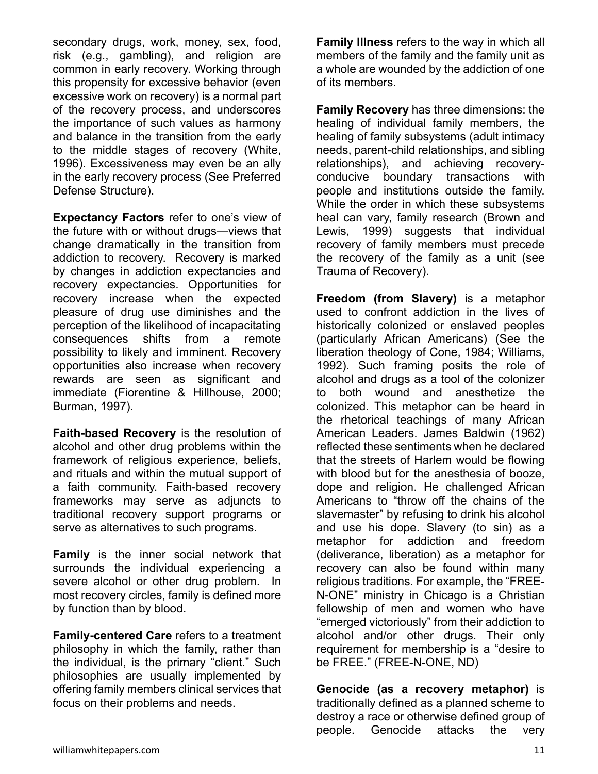secondary drugs, work, money, sex, food, risk (e.g., gambling), and religion are common in early recovery. Working through this propensity for excessive behavior (even excessive work on recovery) is a normal part of the recovery process, and underscores the importance of such values as harmony and balance in the transition from the early to the middle stages of recovery (White, 1996). Excessiveness may even be an ally in the early recovery process (See Preferred Defense Structure).

**Expectancy Factors** refer to one's view of the future with or without drugs—views that change dramatically in the transition from addiction to recovery. Recovery is marked by changes in addiction expectancies and recovery expectancies. Opportunities for recovery increase when the expected pleasure of drug use diminishes and the perception of the likelihood of incapacitating consequences shifts from a remote possibility to likely and imminent. Recovery opportunities also increase when recovery rewards are seen as significant and immediate (Fiorentine & Hillhouse, 2000; Burman, 1997).

**Faith-based Recovery** is the resolution of alcohol and other drug problems within the framework of religious experience, beliefs, and rituals and within the mutual support of a faith community. Faith-based recovery frameworks may serve as adjuncts to traditional recovery support programs or serve as alternatives to such programs.

**Family** is the inner social network that surrounds the individual experiencing a severe alcohol or other drug problem. In most recovery circles, family is defined more by function than by blood.

**Family-centered Care** refers to a treatment philosophy in which the family, rather than the individual, is the primary "client." Such philosophies are usually implemented by offering family members clinical services that focus on their problems and needs.

**Family Illness** refers to the way in which all members of the family and the family unit as a whole are wounded by the addiction of one of its members.

**Family Recovery** has three dimensions: the healing of individual family members, the healing of family subsystems (adult intimacy needs, parent-child relationships, and sibling relationships), and achieving recoveryconducive boundary transactions with people and institutions outside the family. While the order in which these subsystems heal can vary, family research (Brown and Lewis, 1999) suggests that individual recovery of family members must precede the recovery of the family as a unit (see Trauma of Recovery).

**Freedom (from Slavery)** is a metaphor used to confront addiction in the lives of historically colonized or enslaved peoples (particularly African Americans) (See the liberation theology of Cone, 1984; Williams, 1992). Such framing posits the role of alcohol and drugs as a tool of the colonizer to both wound and anesthetize the colonized. This metaphor can be heard in the rhetorical teachings of many African American Leaders. James Baldwin (1962) reflected these sentiments when he declared that the streets of Harlem would be flowing with blood but for the anesthesia of booze, dope and religion. He challenged African Americans to "throw off the chains of the slavemaster" by refusing to drink his alcohol and use his dope. Slavery (to sin) as a metaphor for addiction and freedom (deliverance, liberation) as a metaphor for recovery can also be found within many religious traditions. For example, the "FREE-N-ONE" ministry in Chicago is a Christian fellowship of men and women who have "emerged victoriously" from their addiction to alcohol and/or other drugs. Their only requirement for membership is a "desire to be FREE." (FREE-N-ONE, ND)

**Genocide (as a recovery metaphor)** is traditionally defined as a planned scheme to destroy a race or otherwise defined group of people. Genocide attacks the very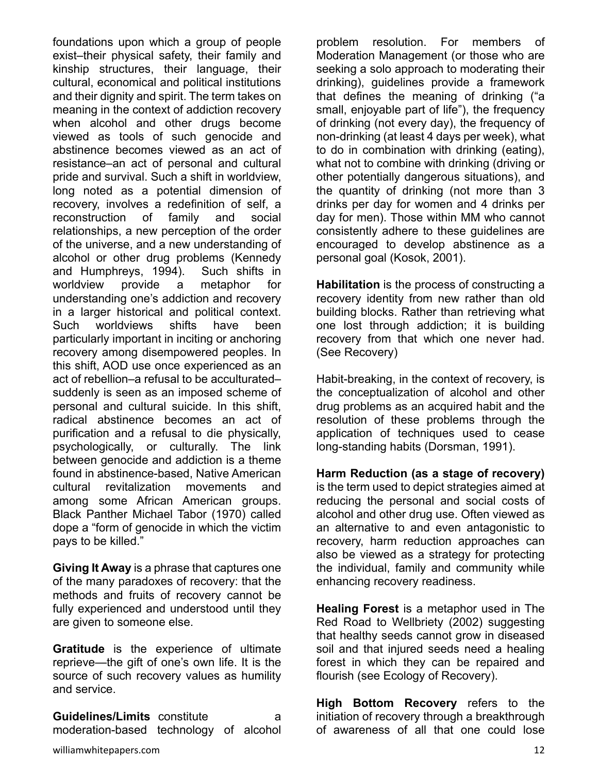foundations upon which a group of people exist–their physical safety, their family and kinship structures, their language, their cultural, economical and political institutions and their dignity and spirit. The term takes on meaning in the context of addiction recovery when alcohol and other drugs become viewed as tools of such genocide and abstinence becomes viewed as an act of resistance–an act of personal and cultural pride and survival. Such a shift in worldview, long noted as a potential dimension of recovery, involves a redefinition of self, a reconstruction of family and social relationships, a new perception of the order of the universe, and a new understanding of alcohol or other drug problems (Kennedy and Humphreys, 1994). Such shifts in worldview provide a metaphor for understanding one's addiction and recovery in a larger historical and political context. Such worldviews shifts have been particularly important in inciting or anchoring recovery among disempowered peoples. In this shift, AOD use once experienced as an act of rebellion–a refusal to be acculturated– suddenly is seen as an imposed scheme of personal and cultural suicide. In this shift, radical abstinence becomes an act of purification and a refusal to die physically, psychologically, or culturally. The link between genocide and addiction is a theme found in abstinence-based, Native American cultural revitalization movements and among some African American groups. Black Panther Michael Tabor (1970) called dope a "form of genocide in which the victim pays to be killed."

**Giving It Away** is a phrase that captures one of the many paradoxes of recovery: that the methods and fruits of recovery cannot be fully experienced and understood until they are given to someone else.

**Gratitude** is the experience of ultimate reprieve—the gift of one's own life. It is the source of such recovery values as humility and service.

**Guidelines/Limits** constitute a moderation-based technology of alcohol problem resolution. For members of Moderation Management (or those who are seeking a solo approach to moderating their drinking), guidelines provide a framework that defines the meaning of drinking ("a small, enjoyable part of life"), the frequency of drinking (not every day), the frequency of non-drinking (at least 4 days per week), what to do in combination with drinking (eating), what not to combine with drinking (driving or other potentially dangerous situations), and the quantity of drinking (not more than 3 drinks per day for women and 4 drinks per day for men). Those within MM who cannot consistently adhere to these guidelines are encouraged to develop abstinence as a personal goal (Kosok, 2001).

**Habilitation** is the process of constructing a recovery identity from new rather than old building blocks. Rather than retrieving what one lost through addiction; it is building recovery from that which one never had. (See Recovery)

Habit-breaking, in the context of recovery, is the conceptualization of alcohol and other drug problems as an acquired habit and the resolution of these problems through the application of techniques used to cease long-standing habits (Dorsman, 1991).

**Harm Reduction (as a stage of recovery)** is the term used to depict strategies aimed at reducing the personal and social costs of alcohol and other drug use. Often viewed as an alternative to and even antagonistic to recovery, harm reduction approaches can also be viewed as a strategy for protecting the individual, family and community while enhancing recovery readiness.

**Healing Forest** is a metaphor used in The Red Road to Wellbriety (2002) suggesting that healthy seeds cannot grow in diseased soil and that injured seeds need a healing forest in which they can be repaired and flourish (see Ecology of Recovery).

**High Bottom Recovery** refers to the initiation of recovery through a breakthrough of awareness of all that one could lose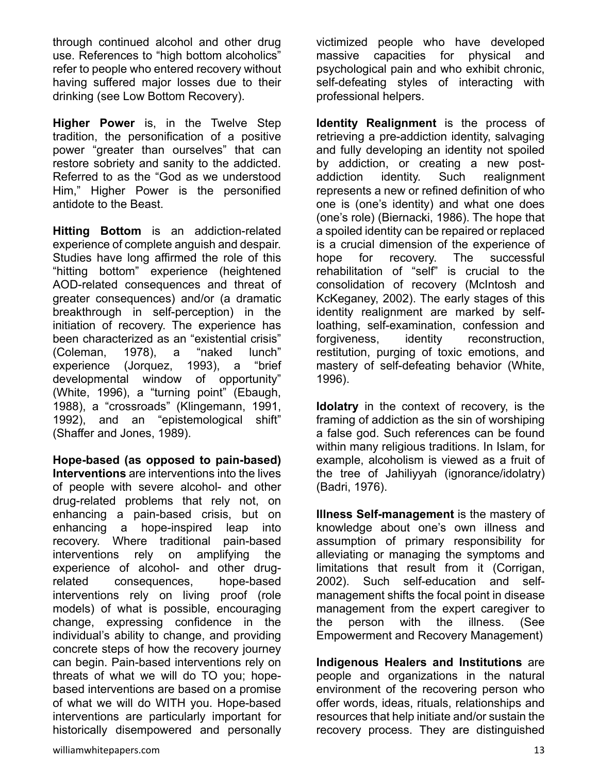through continued alcohol and other drug use. References to "high bottom alcoholics" refer to people who entered recovery without having suffered major losses due to their drinking (see Low Bottom Recovery).

**Higher Power** is, in the Twelve Step tradition, the personification of a positive power "greater than ourselves" that can restore sobriety and sanity to the addicted. Referred to as the "God as we understood Him," Higher Power is the personified antidote to the Beast.

**Hitting Bottom** is an addiction-related experience of complete anguish and despair. Studies have long affirmed the role of this "hitting bottom" experience (heightened AOD-related consequences and threat of greater consequences) and/or (a dramatic breakthrough in self-perception) in the initiation of recovery. The experience has been characterized as an "existential crisis" (Coleman, 1978), a "naked lunch" experience (Jorquez, 1993), a "brief developmental window of opportunity" (White, 1996), a "turning point" (Ebaugh, 1988), a "crossroads" (Klingemann, 1991, 1992), and an "epistemological shift" (Shaffer and Jones, 1989).

**Hope-based (as opposed to pain-based) Interventions** are interventions into the lives of people with severe alcohol- and other drug-related problems that rely not, on enhancing a pain-based crisis, but on enhancing a hope-inspired leap into recovery. Where traditional pain-based interventions rely on amplifying the experience of alcohol- and other drugrelated consequences, hope-based interventions rely on living proof (role models) of what is possible, encouraging change, expressing confidence in the individual's ability to change, and providing concrete steps of how the recovery journey can begin. Pain-based interventions rely on threats of what we will do TO you; hopebased interventions are based on a promise of what we will do WITH you. Hope-based interventions are particularly important for historically disempowered and personally victimized people who have developed massive capacities for physical and psychological pain and who exhibit chronic, self-defeating styles of interacting with professional helpers.

**Identity Realignment** is the process of retrieving a pre-addiction identity, salvaging and fully developing an identity not spoiled by addiction, or creating a new postaddiction identity. Such realignment represents a new or refined definition of who one is (one's identity) and what one does (one's role) (Biernacki, 1986). The hope that a spoiled identity can be repaired or replaced is a crucial dimension of the experience of hope for recovery. The successful rehabilitation of "self" is crucial to the consolidation of recovery (McIntosh and KcKeganey, 2002). The early stages of this identity realignment are marked by selfloathing, self-examination, confession and forgiveness, identity reconstruction, restitution, purging of toxic emotions, and mastery of self-defeating behavior (White, 1996).

**Idolatry** in the context of recovery, is the framing of addiction as the sin of worshiping a false god. Such references can be found within many religious traditions. In Islam, for example, alcoholism is viewed as a fruit of the tree of Jahiliyyah (ignorance/idolatry) (Badri, 1976).

**Illness Self-management** is the mastery of knowledge about one's own illness and assumption of primary responsibility for alleviating or managing the symptoms and limitations that result from it (Corrigan, 2002). Such self-education and selfmanagement shifts the focal point in disease management from the expert caregiver to the person with the illness. (See Empowerment and Recovery Management)

**Indigenous Healers and Institutions** are people and organizations in the natural environment of the recovering person who offer words, ideas, rituals, relationships and resources that help initiate and/or sustain the recovery process. They are distinguished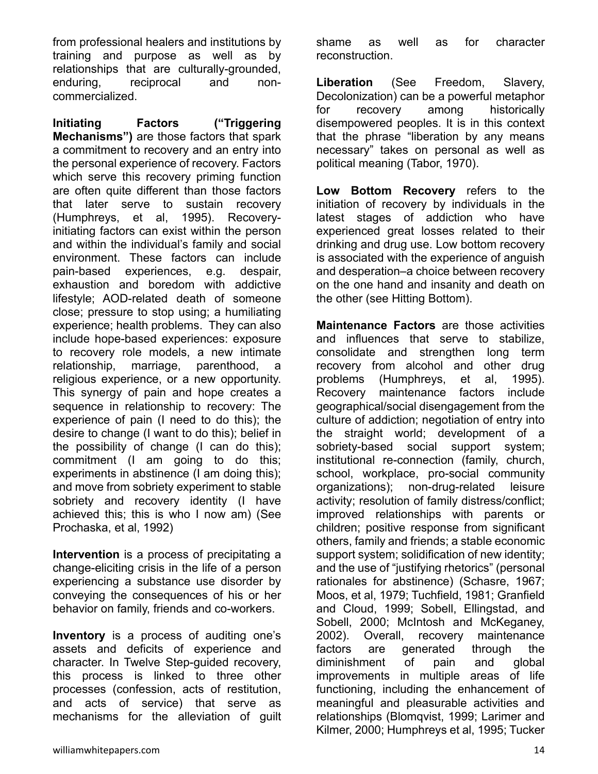from professional healers and institutions by training and purpose as well as by relationships that are culturally-grounded, enduring, reciprocal and noncommercialized.

**Initiating Factors ("Triggering Mechanisms")** are those factors that spark a commitment to recovery and an entry into the personal experience of recovery. Factors which serve this recovery priming function are often quite different than those factors that later serve to sustain recovery (Humphreys, et al, 1995). Recoveryinitiating factors can exist within the person and within the individual's family and social environment. These factors can include pain-based experiences, e.g. despair, exhaustion and boredom with addictive lifestyle; AOD-related death of someone close; pressure to stop using; a humiliating experience; health problems. They can also include hope-based experiences: exposure to recovery role models, a new intimate relationship, marriage, parenthood, religious experience, or a new opportunity. This synergy of pain and hope creates a sequence in relationship to recovery: The experience of pain (I need to do this); the desire to change (I want to do this); belief in the possibility of change (I can do this); commitment (I am going to do this; experiments in abstinence (I am doing this); and move from sobriety experiment to stable sobriety and recovery identity (I have achieved this; this is who I now am) (See Prochaska, et al, 1992)

**Intervention** is a process of precipitating a change-eliciting crisis in the life of a person experiencing a substance use disorder by conveying the consequences of his or her behavior on family, friends and co-workers.

**Inventory** is a process of auditing one's assets and deficits of experience and character. In Twelve Step-guided recovery, this process is linked to three other processes (confession, acts of restitution, and acts of service) that serve as mechanisms for the alleviation of guilt

shame as well as for character reconstruction.

**Liberation** (See Freedom, Slavery, Decolonization) can be a powerful metaphor for recovery among historically disempowered peoples. It is in this context that the phrase "liberation by any means necessary" takes on personal as well as political meaning (Tabor, 1970).

**Low Bottom Recovery** refers to the initiation of recovery by individuals in the latest stages of addiction who have experienced great losses related to their drinking and drug use. Low bottom recovery is associated with the experience of anguish and desperation–a choice between recovery on the one hand and insanity and death on the other (see Hitting Bottom).

**Maintenance Factors** are those activities and influences that serve to stabilize, consolidate and strengthen long term recovery from alcohol and other drug problems (Humphreys, et al, 1995). Recovery maintenance factors include geographical/social disengagement from the culture of addiction; negotiation of entry into the straight world; development of a sobriety-based social support system; institutional re-connection (family, church, school, workplace, pro-social community organizations); non-drug-related leisure activity; resolution of family distress/conflict; improved relationships with parents or children; positive response from significant others, family and friends; a stable economic support system; solidification of new identity; and the use of "justifying rhetorics" (personal rationales for abstinence) (Schasre, 1967; Moos, et al, 1979; Tuchfield, 1981; Granfield and Cloud, 1999; Sobell, Ellingstad, and Sobell, 2000; McIntosh and McKeganey, 2002). Overall, recovery maintenance factors are generated through the diminishment of pain and global improvements in multiple areas of life functioning, including the enhancement of meaningful and pleasurable activities and relationships (Blomqvist, 1999; Larimer and Kilmer, 2000; Humphreys et al, 1995; Tucker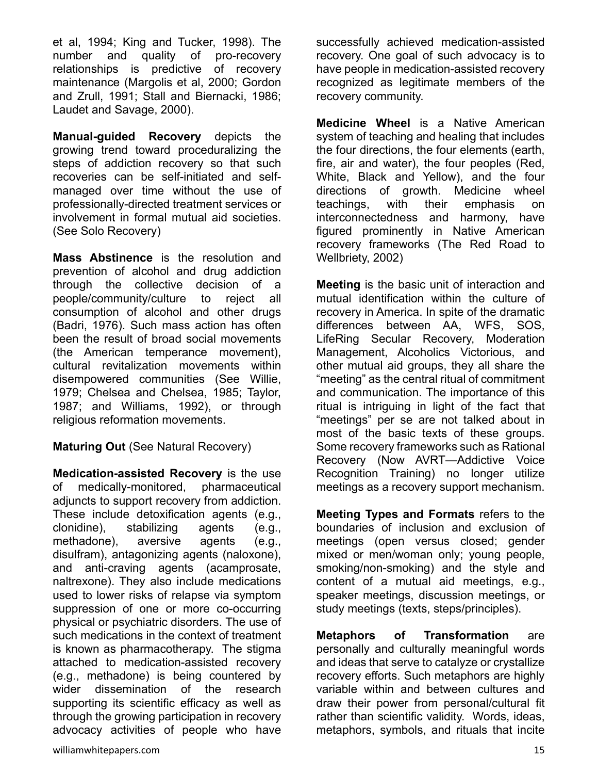et al, 1994; King and Tucker, 1998). The number and quality of pro-recovery relationships is predictive of recovery maintenance (Margolis et al, 2000; Gordon and Zrull, 1991; Stall and Biernacki, 1986; Laudet and Savage, 2000).

**Manual-guided Recovery** depicts the growing trend toward proceduralizing the steps of addiction recovery so that such recoveries can be self-initiated and selfmanaged over time without the use of professionally-directed treatment services or involvement in formal mutual aid societies. (See Solo Recovery)

**Mass Abstinence** is the resolution and prevention of alcohol and drug addiction through the collective decision of a people/community/culture to reject all consumption of alcohol and other drugs (Badri, 1976). Such mass action has often been the result of broad social movements (the American temperance movement), cultural revitalization movements within disempowered communities (See Willie, 1979; Chelsea and Chelsea, 1985; Taylor, 1987; and Williams, 1992), or through religious reformation movements.

**Maturing Out** (See Natural Recovery)

**Medication-assisted Recovery** is the use of medically-monitored, pharmaceutical adjuncts to support recovery from addiction. These include detoxification agents (e.g., clonidine), stabilizing agents (e.g., methadone), aversive agents (e.g., disulfram), antagonizing agents (naloxone), and anti-craving agents (acamprosate, naltrexone). They also include medications used to lower risks of relapse via symptom suppression of one or more co-occurring physical or psychiatric disorders. The use of such medications in the context of treatment is known as pharmacotherapy. The stigma attached to medication-assisted recovery (e.g., methadone) is being countered by wider dissemination of the research supporting its scientific efficacy as well as through the growing participation in recovery advocacy activities of people who have

successfully achieved medication-assisted recovery. One goal of such advocacy is to have people in medication-assisted recovery recognized as legitimate members of the recovery community.

**Medicine Wheel** is a Native American system of teaching and healing that includes the four directions, the four elements (earth, fire, air and water), the four peoples (Red, White, Black and Yellow), and the four directions of growth. Medicine wheel teachings, with their emphasis on interconnectedness and harmony, have figured prominently in Native American recovery frameworks (The Red Road to Wellbriety, 2002)

**Meeting** is the basic unit of interaction and mutual identification within the culture of recovery in America. In spite of the dramatic differences between AA, WFS, SOS, LifeRing Secular Recovery, Moderation Management, Alcoholics Victorious, and other mutual aid groups, they all share the "meeting" as the central ritual of commitment and communication. The importance of this ritual is intriguing in light of the fact that "meetings" per se are not talked about in most of the basic texts of these groups. Some recovery frameworks such as Rational Recovery (Now AVRT—Addictive Voice Recognition Training) no longer utilize meetings as a recovery support mechanism.

**Meeting Types and Formats** refers to the boundaries of inclusion and exclusion of meetings (open versus closed; gender mixed or men/woman only; young people, smoking/non-smoking) and the style and content of a mutual aid meetings, e.g., speaker meetings, discussion meetings, or study meetings (texts, steps/principles).

**Metaphors of Transformation** are personally and culturally meaningful words and ideas that serve to catalyze or crystallize recovery efforts. Such metaphors are highly variable within and between cultures and draw their power from personal/cultural fit rather than scientific validity. Words, ideas, metaphors, symbols, and rituals that incite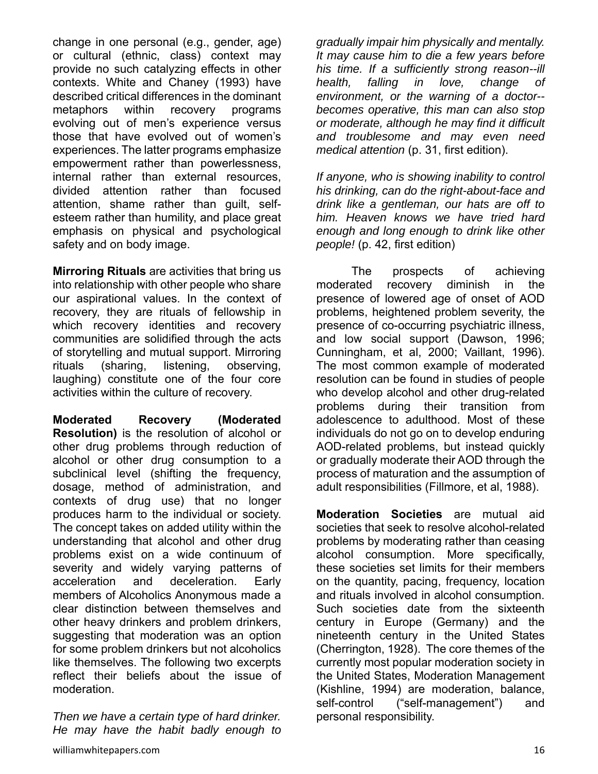change in one personal (e.g., gender, age) or cultural (ethnic, class) context may provide no such catalyzing effects in other contexts. White and Chaney (1993) have described critical differences in the dominant metaphors within recovery programs evolving out of men's experience versus those that have evolved out of women's experiences. The latter programs emphasize empowerment rather than powerlessness, internal rather than external resources, divided attention rather than focused attention, shame rather than guilt, selfesteem rather than humility, and place great emphasis on physical and psychological safety and on body image.

**Mirroring Rituals** are activities that bring us into relationship with other people who share our aspirational values. In the context of recovery, they are rituals of fellowship in which recovery identities and recovery communities are solidified through the acts of storytelling and mutual support. Mirroring rituals (sharing, listening, observing, laughing) constitute one of the four core activities within the culture of recovery.

**Moderated Recovery (Moderated Resolution)** is the resolution of alcohol or other drug problems through reduction of alcohol or other drug consumption to a subclinical level (shifting the frequency, dosage, method of administration, and contexts of drug use) that no longer produces harm to the individual or society. The concept takes on added utility within the understanding that alcohol and other drug problems exist on a wide continuum of severity and widely varying patterns of acceleration and deceleration. Early members of Alcoholics Anonymous made a clear distinction between themselves and other heavy drinkers and problem drinkers, suggesting that moderation was an option for some problem drinkers but not alcoholics like themselves. The following two excerpts reflect their beliefs about the issue of moderation.

*Then we have a certain type of hard drinker. He may have the habit badly enough to* 

williamwhitepapers.com 3.16

*gradually impair him physically and mentally. It may cause him to die a few years before his time. If a sufficiently strong reason--ill health, falling in love, change of environment, or the warning of a doctor- becomes operative, this man can also stop or moderate, although he may find it difficult and troublesome and may even need medical attention* (p. 31, first edition).

*If anyone, who is showing inability to control his drinking, can do the right-about-face and drink like a gentleman, our hats are off to him. Heaven knows we have tried hard enough and long enough to drink like other people!* (p. 42, first edition)

 The prospects of achieving moderated recovery diminish in the presence of lowered age of onset of AOD problems, heightened problem severity, the presence of co-occurring psychiatric illness, and low social support (Dawson, 1996; Cunningham, et al, 2000; Vaillant, 1996). The most common example of moderated resolution can be found in studies of people who develop alcohol and other drug-related problems during their transition from adolescence to adulthood. Most of these individuals do not go on to develop enduring AOD-related problems, but instead quickly or gradually moderate their AOD through the process of maturation and the assumption of adult responsibilities (Fillmore, et al, 1988).

**Moderation Societies** are mutual aid societies that seek to resolve alcohol-related problems by moderating rather than ceasing alcohol consumption. More specifically, these societies set limits for their members on the quantity, pacing, frequency, location and rituals involved in alcohol consumption. Such societies date from the sixteenth century in Europe (Germany) and the nineteenth century in the United States (Cherrington, 1928). The core themes of the currently most popular moderation society in the United States, Moderation Management (Kishline, 1994) are moderation, balance, self-control ("self-management") and personal responsibility.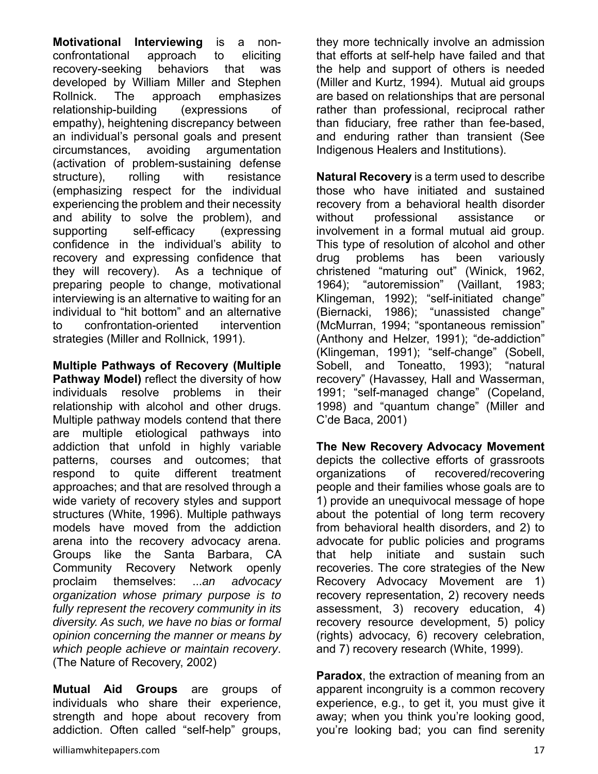**Motivational Interviewing** is a nonconfrontational approach to eliciting recovery-seeking behaviors that was developed by William Miller and Stephen Rollnick. The approach emphasizes relationship-building (expressions of empathy), heightening discrepancy between an individual's personal goals and present circumstances, avoiding argumentation (activation of problem-sustaining defense structure), rolling with resistance (emphasizing respect for the individual experiencing the problem and their necessity and ability to solve the problem), and supporting self-efficacy (expressing confidence in the individual's ability to recovery and expressing confidence that they will recovery). As a technique of preparing people to change, motivational interviewing is an alternative to waiting for an individual to "hit bottom" and an alternative to confrontation-oriented intervention strategies (Miller and Rollnick, 1991).

**Multiple Pathways of Recovery (Multiple Pathway Model)** reflect the diversity of how individuals resolve problems in their relationship with alcohol and other drugs. Multiple pathway models contend that there are multiple etiological pathways into addiction that unfold in highly variable patterns, courses and outcomes; that respond to quite different treatment approaches; and that are resolved through a wide variety of recovery styles and support structures (White, 1996). Multiple pathways models have moved from the addiction arena into the recovery advocacy arena. Groups like the Santa Barbara, CA Community Recovery Network openly proclaim themselves: ...*an advocacy organization whose primary purpose is to fully represent the recovery community in its diversity. As such, we have no bias or formal opinion concerning the manner or means by which people achieve or maintain recovery*. (The Nature of Recovery, 2002)

**Mutual Aid Groups** are groups of individuals who share their experience, strength and hope about recovery from addiction. Often called "self-help" groups,

they more technically involve an admission that efforts at self-help have failed and that the help and support of others is needed (Miller and Kurtz, 1994). Mutual aid groups are based on relationships that are personal rather than professional, reciprocal rather than fiduciary, free rather than fee-based, and enduring rather than transient (See Indigenous Healers and Institutions).

**Natural Recovery** is a term used to describe those who have initiated and sustained recovery from a behavioral health disorder without professional assistance or involvement in a formal mutual aid group. This type of resolution of alcohol and other drug problems has been variously christened "maturing out" (Winick, 1962, 1964); "autoremission" (Vaillant, 1983; Klingeman, 1992); "self-initiated change" (Biernacki, 1986); "unassisted change" (McMurran, 1994; "spontaneous remission" (Anthony and Helzer, 1991); "de-addiction" (Klingeman, 1991); "self-change" (Sobell, Sobell, and Toneatto, 1993); "natural recovery" (Havassey, Hall and Wasserman, 1991; "self-managed change" (Copeland, 1998) and "quantum change" (Miller and C'de Baca, 2001)

**The New Recovery Advocacy Movement** depicts the collective efforts of grassroots organizations of recovered/recovering people and their families whose goals are to 1) provide an unequivocal message of hope about the potential of long term recovery from behavioral health disorders, and 2) to advocate for public policies and programs that help initiate and sustain such recoveries. The core strategies of the New Recovery Advocacy Movement are 1) recovery representation, 2) recovery needs assessment, 3) recovery education, 4) recovery resource development, 5) policy (rights) advocacy, 6) recovery celebration, and 7) recovery research (White, 1999).

**Paradox**, the extraction of meaning from an apparent incongruity is a common recovery experience, e.g., to get it, you must give it away; when you think you're looking good, you're looking bad; you can find serenity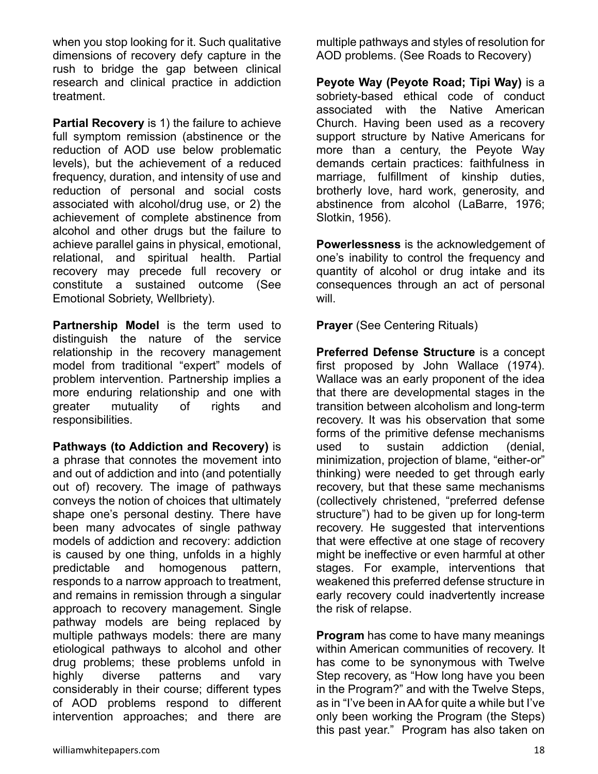when you stop looking for it. Such qualitative dimensions of recovery defy capture in the rush to bridge the gap between clinical research and clinical practice in addiction treatment.

**Partial Recovery** is 1) the failure to achieve full symptom remission (abstinence or the reduction of AOD use below problematic levels), but the achievement of a reduced frequency, duration, and intensity of use and reduction of personal and social costs associated with alcohol/drug use, or 2) the achievement of complete abstinence from alcohol and other drugs but the failure to achieve parallel gains in physical, emotional, relational, and spiritual health. Partial recovery may precede full recovery or constitute a sustained outcome (See Emotional Sobriety, Wellbriety).

**Partnership Model** is the term used to distinguish the nature of the service relationship in the recovery management model from traditional "expert" models of problem intervention. Partnership implies a more enduring relationship and one with greater mutuality of rights and responsibilities.

**Pathways (to Addiction and Recovery)** is a phrase that connotes the movement into and out of addiction and into (and potentially out of) recovery. The image of pathways conveys the notion of choices that ultimately shape one's personal destiny. There have been many advocates of single pathway models of addiction and recovery: addiction is caused by one thing, unfolds in a highly predictable and homogenous pattern, responds to a narrow approach to treatment, and remains in remission through a singular approach to recovery management. Single pathway models are being replaced by multiple pathways models: there are many etiological pathways to alcohol and other drug problems; these problems unfold in highly diverse patterns and vary considerably in their course; different types of AOD problems respond to different intervention approaches; and there are

multiple pathways and styles of resolution for AOD problems. (See Roads to Recovery)

**Peyote Way (Peyote Road; Tipi Way)** is a sobriety-based ethical code of conduct associated with the Native American Church. Having been used as a recovery support structure by Native Americans for more than a century, the Peyote Way demands certain practices: faithfulness in marriage, fulfillment of kinship duties, brotherly love, hard work, generosity, and abstinence from alcohol (LaBarre, 1976; Slotkin, 1956).

**Powerlessness** is the acknowledgement of one's inability to control the frequency and quantity of alcohol or drug intake and its consequences through an act of personal will.

**Prayer** (See Centering Rituals)

**Preferred Defense Structure** is a concept first proposed by John Wallace (1974). Wallace was an early proponent of the idea that there are developmental stages in the transition between alcoholism and long-term recovery. It was his observation that some forms of the primitive defense mechanisms used to sustain addiction (denial, minimization, projection of blame, "either-or" thinking) were needed to get through early recovery, but that these same mechanisms (collectively christened, "preferred defense structure") had to be given up for long-term recovery. He suggested that interventions that were effective at one stage of recovery might be ineffective or even harmful at other stages. For example, interventions that weakened this preferred defense structure in early recovery could inadvertently increase the risk of relapse.

**Program** has come to have many meanings within American communities of recovery. It has come to be synonymous with Twelve Step recovery, as "How long have you been in the Program?" and with the Twelve Steps, as in "I've been in AA for quite a while but I've only been working the Program (the Steps) this past year." Program has also taken on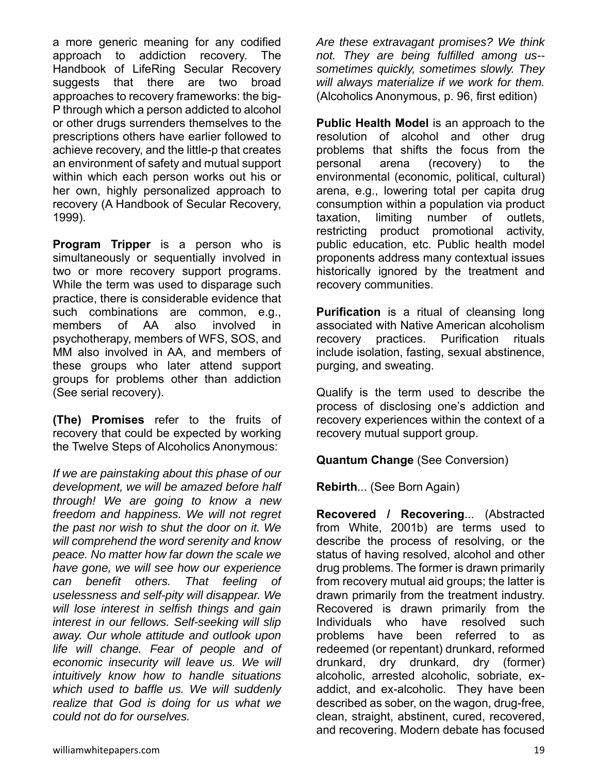a more generic meaning for any codified approach to addiction recovery. The Handbook of LifeRing Secular Recovery suggests that there are two broad approaches to recovery frameworks: the big-P through which a person addicted to alcohol or other drugs surrenders themselves to the prescriptions others have earlier followed to achieve recovery, and the little-p that creates an environment of safety and mutual support within which each person works out his or her own, highly personalized approach to recovery (A Handbook of Secular Recovery, 1999).

**Program Tripper** is a person who is simultaneously or sequentially involved in two or more recovery support programs. While the term was used to disparage such practice, there is considerable evidence that such combinations are common, e.g., members of AA also involved in psychotherapy, members of WFS, SOS, and MM also involved in AA, and members of these groups who later attend support groups for problems other than addiction (See serial recovery).

**(The) Promises** refer to the fruits of recovery that could be expected by working the Twelve Steps of Alcoholics Anonymous:

*If we are painstaking about this phase of our development, we will be amazed before half through! We are going to know a new freedom and happiness. We will not regret the past nor wish to shut the door on it. We will comprehend the word serenity and know peace. No matter how far down the scale we have gone, we will see how our experience can benefit others. That feeling of uselessness and self-pity will disappear. We will lose interest in selfish things and gain interest in our fellows. Self-seeking will slip away. Our whole attitude and outlook upon life will change. Fear of people and of economic insecurity will leave us. We will intuitively know how to handle situations which used to baffle us. We will suddenly realize that God is doing for us what we could not do for ourselves.* 

*Are these extravagant promises? We think not. They are being fulfilled among us- sometimes quickly, sometimes slowly. They will always materialize if we work for them.* (Alcoholics Anonymous, p. 96, first edition)

**Public Health Model** is an approach to the resolution of alcohol and other drug problems that shifts the focus from the personal arena (recovery) to the environmental (economic, political, cultural) arena, e.g., lowering total per capita drug consumption within a population via product taxation, limiting number of outlets, restricting product promotional activity, public education, etc. Public health model proponents address many contextual issues historically ignored by the treatment and recovery communities.

**Purification** is a ritual of cleansing long associated with Native American alcoholism recovery practices. Purification rituals include isolation, fasting, sexual abstinence, purging, and sweating.

Qualify is the term used to describe the process of disclosing one's addiction and recovery experiences within the context of a recovery mutual support group.

**Quantum Change** (See Conversion)

**Rebirth**... (See Born Again)

**Recovered / Recovering**... (Abstracted from White, 2001b) are terms used to describe the process of resolving, or the status of having resolved, alcohol and other drug problems. The former is drawn primarily from recovery mutual aid groups; the latter is drawn primarily from the treatment industry. Recovered is drawn primarily from the Individuals who have resolved such problems have been referred to as redeemed (or repentant) drunkard, reformed drunkard, dry drunkard, dry (former) alcoholic, arrested alcoholic, sobriate, exaddict, and ex-alcoholic. They have been described as sober, on the wagon, drug-free, clean, straight, abstinent, cured, recovered, and recovering. Modern debate has focused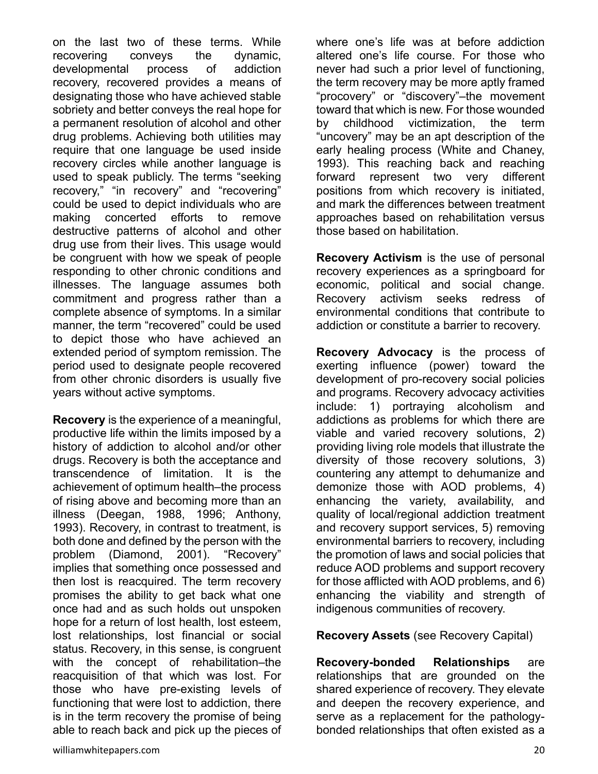on the last two of these terms. While recovering conveys the dynamic, developmental process of addiction recovery, recovered provides a means of designating those who have achieved stable sobriety and better conveys the real hope for a permanent resolution of alcohol and other drug problems. Achieving both utilities may require that one language be used inside recovery circles while another language is used to speak publicly. The terms "seeking recovery," "in recovery" and "recovering" could be used to depict individuals who are making concerted efforts to remove destructive patterns of alcohol and other drug use from their lives. This usage would be congruent with how we speak of people responding to other chronic conditions and illnesses. The language assumes both commitment and progress rather than a complete absence of symptoms. In a similar manner, the term "recovered" could be used to depict those who have achieved an extended period of symptom remission. The period used to designate people recovered from other chronic disorders is usually five years without active symptoms.

**Recovery** is the experience of a meaningful, productive life within the limits imposed by a history of addiction to alcohol and/or other drugs. Recovery is both the acceptance and transcendence of limitation. It is the achievement of optimum health–the process of rising above and becoming more than an illness (Deegan, 1988, 1996; Anthony, 1993). Recovery, in contrast to treatment, is both done and defined by the person with the problem (Diamond, 2001). "Recovery" implies that something once possessed and then lost is reacquired. The term recovery promises the ability to get back what one once had and as such holds out unspoken hope for a return of lost health, lost esteem, lost relationships, lost financial or social status. Recovery, in this sense, is congruent with the concept of rehabilitation–the reacquisition of that which was lost. For those who have pre-existing levels of functioning that were lost to addiction, there is in the term recovery the promise of being able to reach back and pick up the pieces of

where one's life was at before addiction altered one's life course. For those who never had such a prior level of functioning, the term recovery may be more aptly framed "procovery" or "discovery"–the movement toward that which is new. For those wounded by childhood victimization, the term "uncovery" may be an apt description of the early healing process (White and Chaney, 1993). This reaching back and reaching forward represent two very different positions from which recovery is initiated, and mark the differences between treatment approaches based on rehabilitation versus those based on habilitation.

**Recovery Activism** is the use of personal recovery experiences as a springboard for economic, political and social change. Recovery activism seeks redress of environmental conditions that contribute to addiction or constitute a barrier to recovery.

**Recovery Advocacy** is the process of exerting influence (power) toward the development of pro-recovery social policies and programs. Recovery advocacy activities include: 1) portraying alcoholism and addictions as problems for which there are viable and varied recovery solutions, 2) providing living role models that illustrate the diversity of those recovery solutions, 3) countering any attempt to dehumanize and demonize those with AOD problems, 4) enhancing the variety, availability, and quality of local/regional addiction treatment and recovery support services, 5) removing environmental barriers to recovery, including the promotion of laws and social policies that reduce AOD problems and support recovery for those afflicted with AOD problems, and 6) enhancing the viability and strength of indigenous communities of recovery.

#### **Recovery Assets** (see Recovery Capital)

**Recovery-bonded Relationships** are relationships that are grounded on the shared experience of recovery. They elevate and deepen the recovery experience, and serve as a replacement for the pathologybonded relationships that often existed as a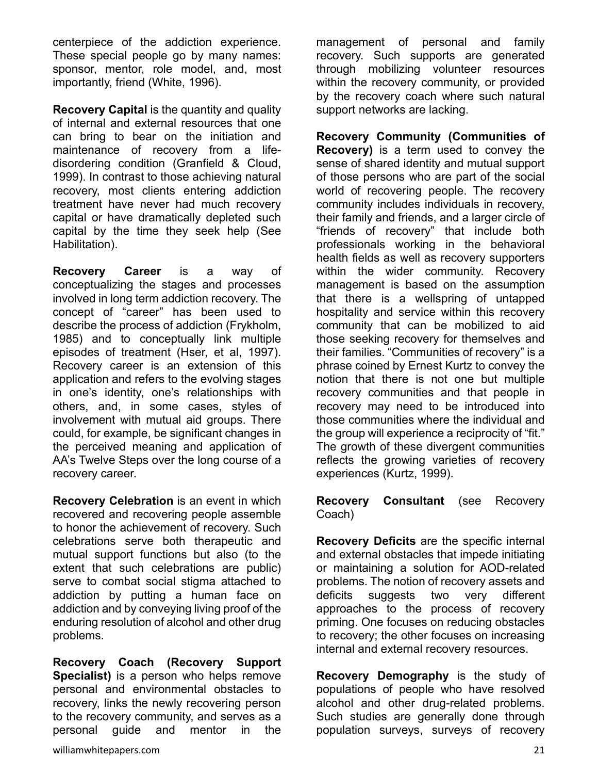centerpiece of the addiction experience. These special people go by many names: sponsor, mentor, role model, and, most importantly, friend (White, 1996).

**Recovery Capital** is the quantity and quality of internal and external resources that one can bring to bear on the initiation and maintenance of recovery from a lifedisordering condition (Granfield & Cloud, 1999). In contrast to those achieving natural recovery, most clients entering addiction treatment have never had much recovery capital or have dramatically depleted such capital by the time they seek help (See Habilitation).

**Recovery Career** is a way of conceptualizing the stages and processes involved in long term addiction recovery. The concept of "career" has been used to describe the process of addiction (Frykholm, 1985) and to conceptually link multiple episodes of treatment (Hser, et al, 1997). Recovery career is an extension of this application and refers to the evolving stages in one's identity, one's relationships with others, and, in some cases, styles of involvement with mutual aid groups. There could, for example, be significant changes in the perceived meaning and application of AA's Twelve Steps over the long course of a recovery career.

**Recovery Celebration** is an event in which recovered and recovering people assemble to honor the achievement of recovery. Such celebrations serve both therapeutic and mutual support functions but also (to the extent that such celebrations are public) serve to combat social stigma attached to addiction by putting a human face on addiction and by conveying living proof of the enduring resolution of alcohol and other drug problems.

**Recovery Coach (Recovery Support Specialist)** is a person who helps remove personal and environmental obstacles to recovery, links the newly recovering person to the recovery community, and serves as a personal guide and mentor in the

management of personal and family recovery. Such supports are generated through mobilizing volunteer resources within the recovery community, or provided by the recovery coach where such natural support networks are lacking.

**Recovery Community (Communities of Recovery)** is a term used to convey the sense of shared identity and mutual support of those persons who are part of the social world of recovering people. The recovery community includes individuals in recovery, their family and friends, and a larger circle of "friends of recovery" that include both professionals working in the behavioral health fields as well as recovery supporters within the wider community. Recovery management is based on the assumption that there is a wellspring of untapped hospitality and service within this recovery community that can be mobilized to aid those seeking recovery for themselves and their families. "Communities of recovery" is a phrase coined by Ernest Kurtz to convey the notion that there is not one but multiple recovery communities and that people in recovery may need to be introduced into those communities where the individual and the group will experience a reciprocity of "fit." The growth of these divergent communities reflects the growing varieties of recovery experiences (Kurtz, 1999).

**Recovery Consultant** (see Recovery Coach)

**Recovery Deficits** are the specific internal and external obstacles that impede initiating or maintaining a solution for AOD-related problems. The notion of recovery assets and deficits suggests two very different approaches to the process of recovery priming. One focuses on reducing obstacles to recovery; the other focuses on increasing internal and external recovery resources.

**Recovery Demography** is the study of populations of people who have resolved alcohol and other drug-related problems. Such studies are generally done through population surveys, surveys of recovery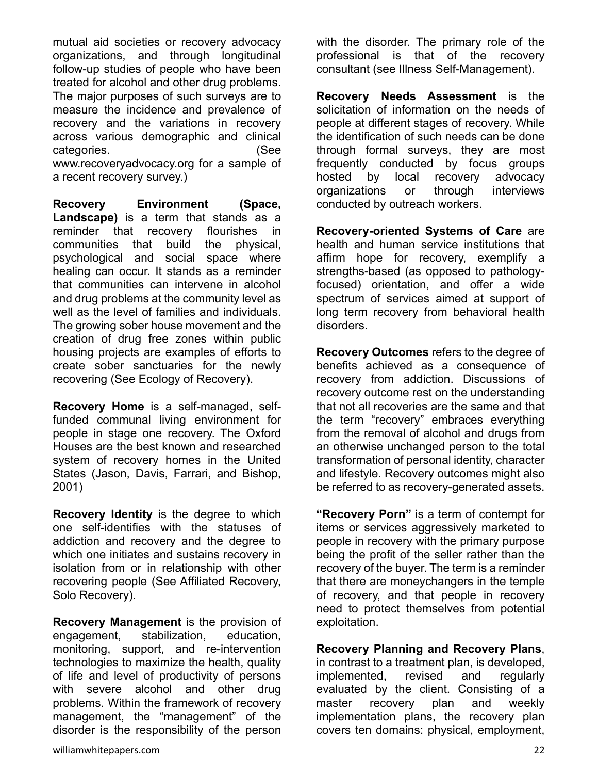mutual aid societies or recovery advocacy organizations, and through longitudinal follow-up studies of people who have been treated for alcohol and other drug problems. The major purposes of such surveys are to measure the incidence and prevalence of recovery and the variations in recovery across various demographic and clinical categories. (See www.recoveryadvocacy.org for a sample of a recent recovery survey.)

**Recovery Environment (Space, Landscape)** is a term that stands as a reminder that recovery flourishes in communities that build the physical, psychological and social space where healing can occur. It stands as a reminder that communities can intervene in alcohol and drug problems at the community level as well as the level of families and individuals. The growing sober house movement and the creation of drug free zones within public housing projects are examples of efforts to create sober sanctuaries for the newly recovering (See Ecology of Recovery).

**Recovery Home** is a self-managed, selffunded communal living environment for people in stage one recovery. The Oxford Houses are the best known and researched system of recovery homes in the United States (Jason, Davis, Farrari, and Bishop, 2001)

**Recovery Identity** is the degree to which one self-identifies with the statuses of addiction and recovery and the degree to which one initiates and sustains recovery in isolation from or in relationship with other recovering people (See Affiliated Recovery, Solo Recovery).

**Recovery Management** is the provision of engagement, stabilization, education, monitoring, support, and re-intervention technologies to maximize the health, quality of life and level of productivity of persons with severe alcohol and other drug problems. Within the framework of recovery management, the "management" of the disorder is the responsibility of the person with the disorder. The primary role of the professional is that of the recovery consultant (see Illness Self-Management).

**Recovery Needs Assessment** is the solicitation of information on the needs of people at different stages of recovery. While the identification of such needs can be done through formal surveys, they are most frequently conducted by focus groups hosted by local recovery advocacy organizations or through interviews conducted by outreach workers.

**Recovery-oriented Systems of Care** are health and human service institutions that affirm hope for recovery, exemplify a strengths-based (as opposed to pathologyfocused) orientation, and offer a wide spectrum of services aimed at support of long term recovery from behavioral health disorders.

**Recovery Outcomes** refers to the degree of benefits achieved as a consequence of recovery from addiction. Discussions of recovery outcome rest on the understanding that not all recoveries are the same and that the term "recovery" embraces everything from the removal of alcohol and drugs from an otherwise unchanged person to the total transformation of personal identity, character and lifestyle. Recovery outcomes might also be referred to as recovery-generated assets.

**"Recovery Porn"** is a term of contempt for items or services aggressively marketed to people in recovery with the primary purpose being the profit of the seller rather than the recovery of the buyer. The term is a reminder that there are moneychangers in the temple of recovery, and that people in recovery need to protect themselves from potential exploitation.

**Recovery Planning and Recovery Plans**, in contrast to a treatment plan, is developed, implemented, revised and regularly evaluated by the client. Consisting of a master recovery plan and weekly implementation plans, the recovery plan covers ten domains: physical, employment,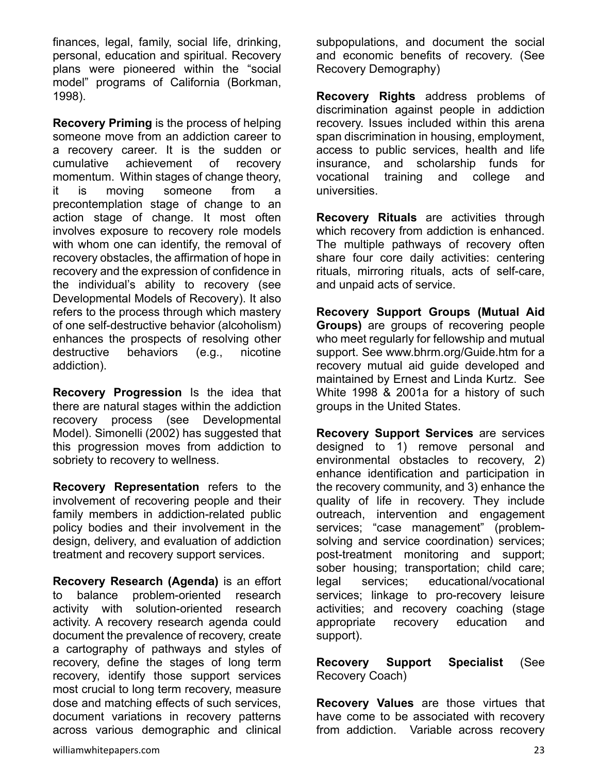finances, legal, family, social life, drinking, personal, education and spiritual. Recovery plans were pioneered within the "social model" programs of California (Borkman, 1998).

**Recovery Priming** is the process of helping someone move from an addiction career to a recovery career. It is the sudden or cumulative achievement of recovery momentum. Within stages of change theory, it is moving someone from a precontemplation stage of change to an action stage of change. It most often involves exposure to recovery role models with whom one can identify, the removal of recovery obstacles, the affirmation of hope in recovery and the expression of confidence in the individual's ability to recovery (see Developmental Models of Recovery). It also refers to the process through which mastery of one self-destructive behavior (alcoholism) enhances the prospects of resolving other destructive behaviors (e.g., nicotine addiction).

**Recovery Progression** Is the idea that there are natural stages within the addiction recovery process (see Developmental Model). Simonelli (2002) has suggested that this progression moves from addiction to sobriety to recovery to wellness.

**Recovery Representation** refers to the involvement of recovering people and their family members in addiction-related public policy bodies and their involvement in the design, delivery, and evaluation of addiction treatment and recovery support services.

**Recovery Research (Agenda)** is an effort to balance problem-oriented research activity with solution-oriented research activity. A recovery research agenda could document the prevalence of recovery, create a cartography of pathways and styles of recovery, define the stages of long term recovery, identify those support services most crucial to long term recovery, measure dose and matching effects of such services, document variations in recovery patterns across various demographic and clinical

subpopulations, and document the social and economic benefits of recovery. (See Recovery Demography)

**Recovery Rights** address problems of discrimination against people in addiction recovery. Issues included within this arena span discrimination in housing, employment, access to public services, health and life insurance, and scholarship funds for vocational training and college and universities.

**Recovery Rituals** are activities through which recovery from addiction is enhanced. The multiple pathways of recovery often share four core daily activities: centering rituals, mirroring rituals, acts of self-care, and unpaid acts of service.

**Recovery Support Groups (Mutual Aid Groups)** are groups of recovering people who meet regularly for fellowship and mutual support. See www.bhrm.org/Guide.htm for a recovery mutual aid guide developed and maintained by Ernest and Linda Kurtz. See White 1998 & 2001a for a history of such groups in the United States.

**Recovery Support Services** are services designed to 1) remove personal and environmental obstacles to recovery, 2) enhance identification and participation in the recovery community, and 3) enhance the quality of life in recovery. They include outreach, intervention and engagement services; "case management" (problemsolving and service coordination) services; post-treatment monitoring and support; sober housing; transportation; child care; legal services; educational/vocational services; linkage to pro-recovery leisure activities; and recovery coaching (stage appropriate recovery education and support).

**Recovery Support Specialist** (See Recovery Coach)

**Recovery Values** are those virtues that have come to be associated with recovery from addiction. Variable across recovery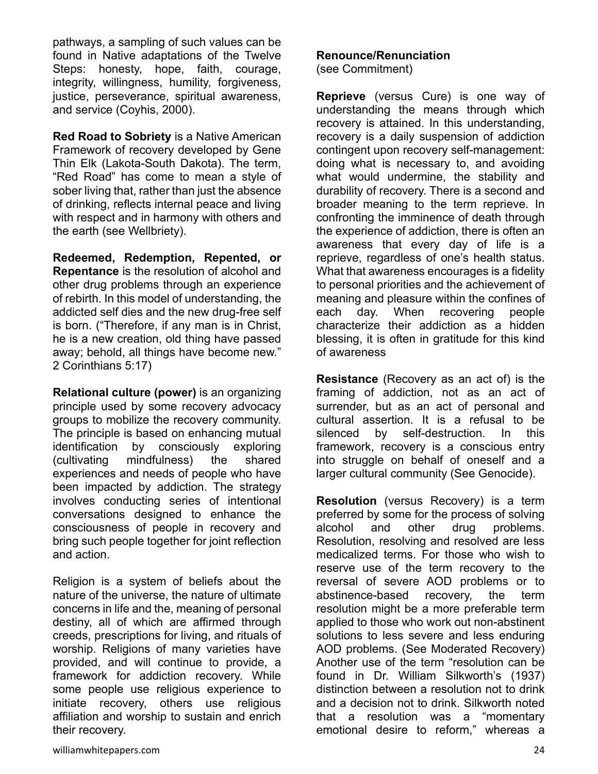pathways, a sampling of such values can be found in Native adaptations of the Twelve Steps: honesty, hope, faith, courage, integrity, willingness, humility, forgiveness, justice, perseverance, spiritual awareness, and service (Coyhis, 2000).

**Red Road to Sobriety** is a Native American Framework of recovery developed by Gene Thin Elk (Lakota-South Dakota). The term, "Red Road" has come to mean a style of sober living that, rather than just the absence of drinking, reflects internal peace and living with respect and in harmony with others and the earth (see Wellbriety).

**Redeemed, Redemption, Repented, or Repentance** is the resolution of alcohol and other drug problems through an experience of rebirth. In this model of understanding, the addicted self dies and the new drug-free self is born. ("Therefore, if any man is in Christ, he is a new creation, old thing have passed away; behold, all things have become new." 2 Corinthians 5:17)

**Relational culture (power)** is an organizing principle used by some recovery advocacy groups to mobilize the recovery community. The principle is based on enhancing mutual identification by consciously exploring (cultivating mindfulness) the shared experiences and needs of people who have been impacted by addiction. The strategy involves conducting series of intentional conversations designed to enhance the consciousness of people in recovery and bring such people together for joint reflection and action.

Religion is a system of beliefs about the nature of the universe, the nature of ultimate concerns in life and the, meaning of personal destiny, all of which are affirmed through creeds, prescriptions for living, and rituals of worship. Religions of many varieties have provided, and will continue to provide, a framework for addiction recovery. While some people use religious experience to initiate recovery, others use religious affiliation and worship to sustain and enrich their recovery.

#### **Renounce/Renunciation**

(see Commitment)

**Reprieve** (versus Cure) is one way of understanding the means through which recovery is attained. In this understanding, recovery is a daily suspension of addiction contingent upon recovery self-management: doing what is necessary to, and avoiding what would undermine, the stability and durability of recovery. There is a second and broader meaning to the term reprieve. In confronting the imminence of death through the experience of addiction, there is often an awareness that every day of life is a reprieve, regardless of one's health status. What that awareness encourages is a fidelity to personal priorities and the achievement of meaning and pleasure within the confines of each day. When recovering people characterize their addiction as a hidden blessing, it is often in gratitude for this kind of awareness

**Resistance** (Recovery as an act of) is the framing of addiction, not as an act of surrender, but as an act of personal and cultural assertion. It is a refusal to be silenced by self-destruction. In this framework, recovery is a conscious entry into struggle on behalf of oneself and a larger cultural community (See Genocide).

**Resolution** (versus Recovery) is a term preferred by some for the process of solving alcohol and other drug problems. Resolution, resolving and resolved are less medicalized terms. For those who wish to reserve use of the term recovery to the reversal of severe AOD problems or to abstinence-based recovery, the term resolution might be a more preferable term applied to those who work out non-abstinent solutions to less severe and less enduring AOD problems. (See Moderated Recovery) Another use of the term "resolution can be found in Dr. William Silkworth's (1937) distinction between a resolution not to drink and a decision not to drink. Silkworth noted that a resolution was a "momentary emotional desire to reform," whereas a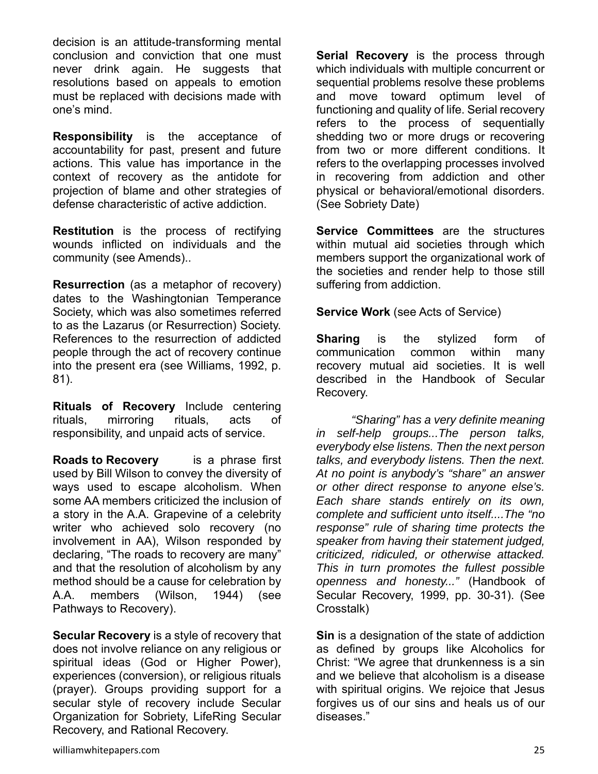decision is an attitude-transforming mental conclusion and conviction that one must never drink again. He suggests that resolutions based on appeals to emotion must be replaced with decisions made with one's mind.

**Responsibility** is the acceptance of accountability for past, present and future actions. This value has importance in the context of recovery as the antidote for projection of blame and other strategies of defense characteristic of active addiction.

**Restitution** is the process of rectifying wounds inflicted on individuals and the community (see Amends)..

**Resurrection** (as a metaphor of recovery) dates to the Washingtonian Temperance Society, which was also sometimes referred to as the Lazarus (or Resurrection) Society. References to the resurrection of addicted people through the act of recovery continue into the present era (see Williams, 1992, p. 81).

**Rituals of Recovery** Include centering rituals, mirroring rituals, acts of responsibility, and unpaid acts of service.

**Roads to Recovery** is a phrase first used by Bill Wilson to convey the diversity of ways used to escape alcoholism. When some AA members criticized the inclusion of a story in the A.A. Grapevine of a celebrity writer who achieved solo recovery (no involvement in AA), Wilson responded by declaring, "The roads to recovery are many" and that the resolution of alcoholism by any method should be a cause for celebration by A.A. members (Wilson, 1944) (see Pathways to Recovery).

**Secular Recovery** is a style of recovery that does not involve reliance on any religious or spiritual ideas (God or Higher Power), experiences (conversion), or religious rituals (prayer). Groups providing support for a secular style of recovery include Secular Organization for Sobriety, LifeRing Secular Recovery, and Rational Recovery.

**Serial Recovery** is the process through which individuals with multiple concurrent or sequential problems resolve these problems and move toward optimum level of functioning and quality of life. Serial recovery refers to the process of sequentially shedding two or more drugs or recovering from two or more different conditions. It refers to the overlapping processes involved in recovering from addiction and other physical or behavioral/emotional disorders. (See Sobriety Date)

**Service Committees** are the structures within mutual aid societies through which members support the organizational work of the societies and render help to those still suffering from addiction.

**Service Work** (see Acts of Service)

**Sharing** is the stylized form of communication common within many recovery mutual aid societies. It is well described in the Handbook of Secular Recovery.

*"Sharing" has a very definite meaning in self-help groups...The person talks, everybody else listens. Then the next person talks, and everybody listens. Then the next. At no point is anybody's "share" an answer or other direct response to anyone else's. Each share stands entirely on its own, complete and sufficient unto itself....The "no response" rule of sharing time protects the speaker from having their statement judged, criticized, ridiculed, or otherwise attacked. This in turn promotes the fullest possible openness and honesty..."* (Handbook of Secular Recovery, 1999, pp. 30-31). (See Crosstalk)

**Sin** is a designation of the state of addiction as defined by groups like Alcoholics for Christ: "We agree that drunkenness is a sin and we believe that alcoholism is a disease with spiritual origins. We rejoice that Jesus forgives us of our sins and heals us of our diseases."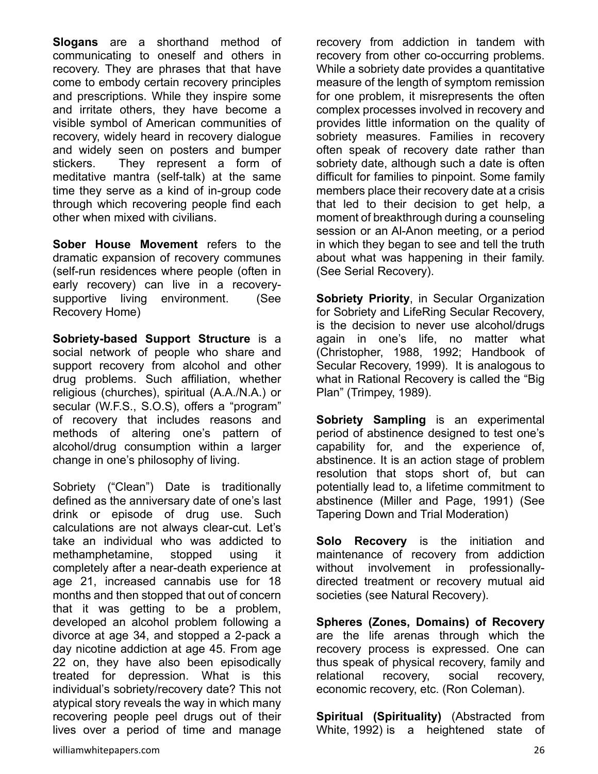**Slogans** are a shorthand method of communicating to oneself and others in recovery. They are phrases that that have come to embody certain recovery principles and prescriptions. While they inspire some and irritate others, they have become a visible symbol of American communities of recovery, widely heard in recovery dialogue and widely seen on posters and bumper stickers. They represent a form of meditative mantra (self-talk) at the same time they serve as a kind of in-group code through which recovering people find each other when mixed with civilians.

**Sober House Movement** refers to the dramatic expansion of recovery communes (self-run residences where people (often in early recovery) can live in a recoverysupportive living environment. (See Recovery Home)

**Sobriety-based Support Structure** is a social network of people who share and support recovery from alcohol and other drug problems. Such affiliation, whether religious (churches), spiritual (A.A./N.A.) or secular (W.F.S., S.O.S), offers a "program" of recovery that includes reasons and methods of altering one's pattern of alcohol/drug consumption within a larger change in one's philosophy of living.

Sobriety ("Clean") Date is traditionally defined as the anniversary date of one's last drink or episode of drug use. Such calculations are not always clear-cut. Let's take an individual who was addicted to methamphetamine, stopped using it completely after a near-death experience at age 21, increased cannabis use for 18 months and then stopped that out of concern that it was getting to be a problem, developed an alcohol problem following a divorce at age 34, and stopped a 2-pack a day nicotine addiction at age 45. From age 22 on, they have also been episodically treated for depression. What is this individual's sobriety/recovery date? This not atypical story reveals the way in which many recovering people peel drugs out of their lives over a period of time and manage

recovery from addiction in tandem with recovery from other co-occurring problems. While a sobriety date provides a quantitative measure of the length of symptom remission for one problem, it misrepresents the often complex processes involved in recovery and provides little information on the quality of sobriety measures. Families in recovery often speak of recovery date rather than sobriety date, although such a date is often difficult for families to pinpoint. Some family members place their recovery date at a crisis that led to their decision to get help, a moment of breakthrough during a counseling session or an Al-Anon meeting, or a period in which they began to see and tell the truth about what was happening in their family. (See Serial Recovery).

**Sobriety Priority**, in Secular Organization for Sobriety and LifeRing Secular Recovery, is the decision to never use alcohol/drugs again in one's life, no matter what (Christopher, 1988, 1992; Handbook of Secular Recovery, 1999). It is analogous to what in Rational Recovery is called the "Big Plan" (Trimpey, 1989).

**Sobriety Sampling** is an experimental period of abstinence designed to test one's capability for, and the experience of, abstinence. It is an action stage of problem resolution that stops short of, but can potentially lead to, a lifetime commitment to abstinence (Miller and Page, 1991) (See Tapering Down and Trial Moderation)

**Solo Recovery** is the initiation and maintenance of recovery from addiction without involvement in professionallydirected treatment or recovery mutual aid societies (see Natural Recovery).

**Spheres (Zones, Domains) of Recovery** are the life arenas through which the recovery process is expressed. One can thus speak of physical recovery, family and relational recovery, social recovery, economic recovery, etc. (Ron Coleman).

**Spiritual (Spirituality)** (Abstracted from White, 1992) is a heightened state of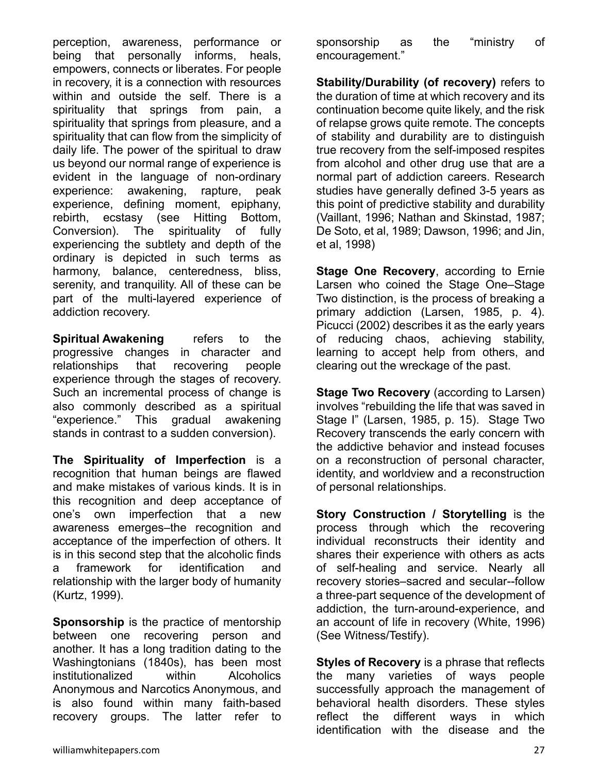perception, awareness, performance or being that personally informs, heals, empowers, connects or liberates. For people in recovery, it is a connection with resources within and outside the self. There is a spirituality that springs from pain, a spirituality that springs from pleasure, and a spirituality that can flow from the simplicity of daily life. The power of the spiritual to draw us beyond our normal range of experience is evident in the language of non-ordinary experience: awakening, rapture, peak experience, defining moment, epiphany, rebirth, ecstasy (see Hitting Bottom, Conversion). The spirituality of fully experiencing the subtlety and depth of the ordinary is depicted in such terms as harmony, balance, centeredness, bliss, serenity, and tranquility. All of these can be part of the multi-layered experience of addiction recovery.

**Spiritual Awakening** refers to the progressive changes in character and relationships that recovering people experience through the stages of recovery. Such an incremental process of change is also commonly described as a spiritual "experience." This gradual awakening stands in contrast to a sudden conversion).

**The Spirituality of Imperfection** is a recognition that human beings are flawed and make mistakes of various kinds. It is in this recognition and deep acceptance of one's own imperfection that a new awareness emerges–the recognition and acceptance of the imperfection of others. It is in this second step that the alcoholic finds a framework for identification and relationship with the larger body of humanity (Kurtz, 1999).

**Sponsorship** is the practice of mentorship between one recovering person and another. It has a long tradition dating to the Washingtonians (1840s), has been most institutionalized within Alcoholics Anonymous and Narcotics Anonymous, and is also found within many faith-based recovery groups. The latter refer to

sponsorship as the "ministry of encouragement."

**Stability/Durability (of recovery)** refers to the duration of time at which recovery and its continuation become quite likely, and the risk of relapse grows quite remote. The concepts of stability and durability are to distinguish true recovery from the self-imposed respites from alcohol and other drug use that are a normal part of addiction careers. Research studies have generally defined 3-5 years as this point of predictive stability and durability (Vaillant, 1996; Nathan and Skinstad, 1987; De Soto, et al, 1989; Dawson, 1996; and Jin, et al, 1998)

**Stage One Recovery**, according to Ernie Larsen who coined the Stage One–Stage Two distinction, is the process of breaking a primary addiction (Larsen, 1985, p. 4). Picucci (2002) describes it as the early years of reducing chaos, achieving stability, learning to accept help from others, and clearing out the wreckage of the past.

**Stage Two Recovery** (according to Larsen) involves "rebuilding the life that was saved in Stage I" (Larsen, 1985, p. 15). Stage Two Recovery transcends the early concern with the addictive behavior and instead focuses on a reconstruction of personal character, identity, and worldview and a reconstruction of personal relationships.

**Story Construction / Storytelling** is the process through which the recovering individual reconstructs their identity and shares their experience with others as acts of self-healing and service. Nearly all recovery stories–sacred and secular--follow a three-part sequence of the development of addiction, the turn-around-experience, and an account of life in recovery (White, 1996) (See Witness/Testify).

**Styles of Recovery** is a phrase that reflects the many varieties of ways people successfully approach the management of behavioral health disorders. These styles reflect the different ways in which identification with the disease and the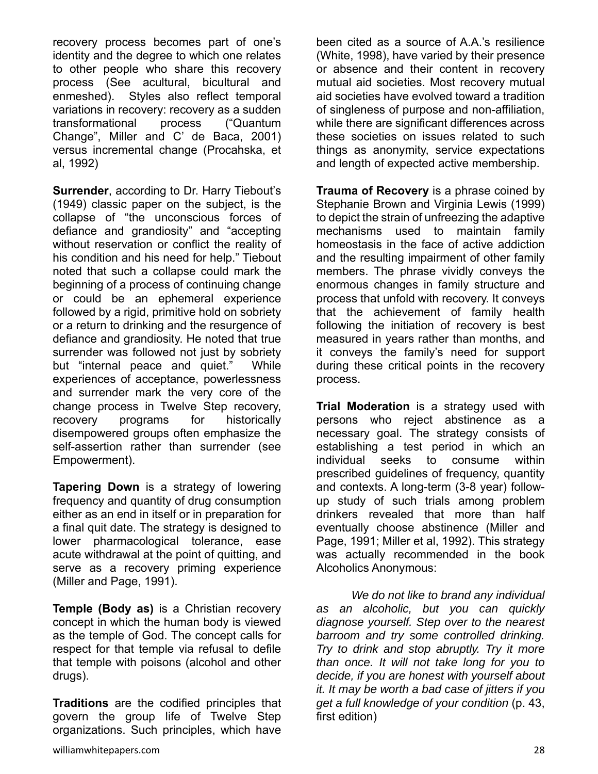recovery process becomes part of one's identity and the degree to which one relates to other people who share this recovery process (See acultural, bicultural and enmeshed). Styles also reflect temporal variations in recovery: recovery as a sudden transformational process ("Quantum Change", Miller and C' de Baca, 2001) versus incremental change (Procahska, et al, 1992)

**Surrender**, according to Dr. Harry Tiebout's (1949) classic paper on the subject, is the collapse of "the unconscious forces of defiance and grandiosity" and "accepting without reservation or conflict the reality of his condition and his need for help." Tiebout noted that such a collapse could mark the beginning of a process of continuing change or could be an ephemeral experience followed by a rigid, primitive hold on sobriety or a return to drinking and the resurgence of defiance and grandiosity. He noted that true surrender was followed not just by sobriety but "internal peace and quiet." While experiences of acceptance, powerlessness and surrender mark the very core of the change process in Twelve Step recovery, recovery programs for historically disempowered groups often emphasize the self-assertion rather than surrender (see Empowerment).

**Tapering Down** is a strategy of lowering frequency and quantity of drug consumption either as an end in itself or in preparation for a final quit date. The strategy is designed to lower pharmacological tolerance, ease acute withdrawal at the point of quitting, and serve as a recovery priming experience (Miller and Page, 1991).

**Temple (Body as)** is a Christian recovery concept in which the human body is viewed as the temple of God. The concept calls for respect for that temple via refusal to defile that temple with poisons (alcohol and other drugs).

**Traditions** are the codified principles that govern the group life of Twelve Step organizations. Such principles, which have

been cited as a source of A.A.'s resilience (White, 1998), have varied by their presence or absence and their content in recovery mutual aid societies. Most recovery mutual aid societies have evolved toward a tradition of singleness of purpose and non-affiliation, while there are significant differences across these societies on issues related to such things as anonymity, service expectations and length of expected active membership.

**Trauma of Recovery** is a phrase coined by Stephanie Brown and Virginia Lewis (1999) to depict the strain of unfreezing the adaptive mechanisms used to maintain family homeostasis in the face of active addiction and the resulting impairment of other family members. The phrase vividly conveys the enormous changes in family structure and process that unfold with recovery. It conveys that the achievement of family health following the initiation of recovery is best measured in years rather than months, and it conveys the family's need for support during these critical points in the recovery process.

**Trial Moderation** is a strategy used with persons who reject abstinence as a necessary goal. The strategy consists of establishing a test period in which an individual seeks to consume within prescribed guidelines of frequency, quantity and contexts. A long-term (3-8 year) followup study of such trials among problem drinkers revealed that more than half eventually choose abstinence (Miller and Page, 1991; Miller et al, 1992). This strategy was actually recommended in the book Alcoholics Anonymous:

*We do not like to brand any individual as an alcoholic, but you can quickly diagnose yourself. Step over to the nearest barroom and try some controlled drinking. Try to drink and stop abruptly. Try it more than once. It will not take long for you to decide, if you are honest with yourself about it. It may be worth a bad case of jitters if you get a full knowledge of your condition* (p. 43, first edition)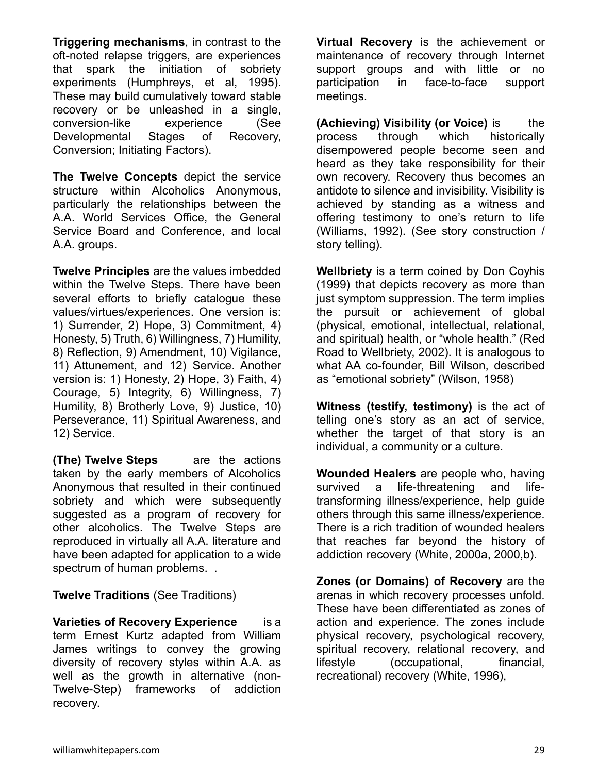**Triggering mechanisms**, in contrast to the oft-noted relapse triggers, are experiences that spark the initiation of sobriety experiments (Humphreys, et al, 1995). These may build cumulatively toward stable recovery or be unleashed in a single, conversion-like experience (See Developmental Stages of Recovery, Conversion; Initiating Factors).

**The Twelve Concepts** depict the service structure within Alcoholics Anonymous, particularly the relationships between the A.A. World Services Office, the General Service Board and Conference, and local A.A. groups.

**Twelve Principles** are the values imbedded within the Twelve Steps. There have been several efforts to briefly catalogue these values/virtues/experiences. One version is: 1) Surrender, 2) Hope, 3) Commitment, 4) Honesty, 5) Truth, 6) Willingness, 7) Humility, 8) Reflection, 9) Amendment, 10) Vigilance, 11) Attunement, and 12) Service. Another version is: 1) Honesty, 2) Hope, 3) Faith, 4) Courage, 5) Integrity, 6) Willingness, 7) Humility, 8) Brotherly Love, 9) Justice, 10) Perseverance, 11) Spiritual Awareness, and 12) Service.

**(The) Twelve Steps** are the actions taken by the early members of Alcoholics Anonymous that resulted in their continued sobriety and which were subsequently suggested as a program of recovery for other alcoholics. The Twelve Steps are reproduced in virtually all A.A. literature and have been adapted for application to a wide spectrum of human problems. .

**Twelve Traditions** (See Traditions)

**Varieties of Recovery Experience** is a term Ernest Kurtz adapted from William James writings to convey the growing diversity of recovery styles within A.A. as well as the growth in alternative (non-Twelve-Step) frameworks of addiction recovery.

**Virtual Recovery** is the achievement or maintenance of recovery through Internet support groups and with little or no participation in face-to-face support meetings.

**(Achieving) Visibility (or Voice)** is the process through which historically disempowered people become seen and heard as they take responsibility for their own recovery. Recovery thus becomes an antidote to silence and invisibility. Visibility is achieved by standing as a witness and offering testimony to one's return to life (Williams, 1992). (See story construction / story telling).

**Wellbriety** is a term coined by Don Coyhis (1999) that depicts recovery as more than just symptom suppression. The term implies the pursuit or achievement of global (physical, emotional, intellectual, relational, and spiritual) health, or "whole health." (Red Road to Wellbriety, 2002). It is analogous to what AA co-founder, Bill Wilson, described as "emotional sobriety" (Wilson, 1958)

**Witness (testify, testimony)** is the act of telling one's story as an act of service, whether the target of that story is an individual, a community or a culture.

**Wounded Healers** are people who, having survived a life-threatening and lifetransforming illness/experience, help guide others through this same illness/experience. There is a rich tradition of wounded healers that reaches far beyond the history of addiction recovery (White, 2000a, 2000,b).

**Zones (or Domains) of Recovery** are the arenas in which recovery processes unfold. These have been differentiated as zones of action and experience. The zones include physical recovery, psychological recovery, spiritual recovery, relational recovery, and lifestyle (occupational, financial, recreational) recovery (White, 1996),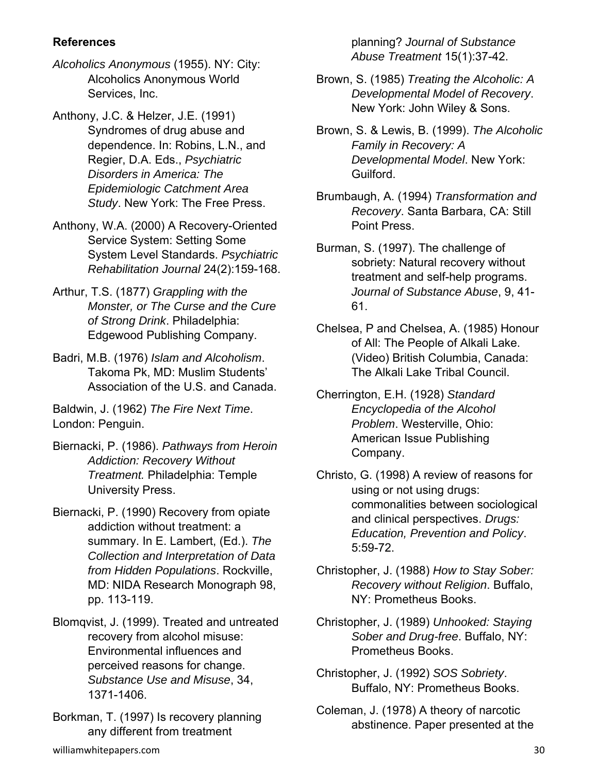## **References**

- *Alcoholics Anonymous* (1955). NY: City: Alcoholics Anonymous World Services, Inc.
- Anthony, J.C. & Helzer, J.E. (1991) Syndromes of drug abuse and dependence. In: Robins, L.N., and Regier, D.A. Eds., *Psychiatric Disorders in America: The Epidemiologic Catchment Area Study*. New York: The Free Press.
- Anthony, W.A. (2000) A Recovery-Oriented Service System: Setting Some System Level Standards. *Psychiatric Rehabilitation Journal* 24(2):159-168.
- Arthur, T.S. (1877) *Grappling with the Monster, or The Curse and the Cure of Strong Drink*. Philadelphia: Edgewood Publishing Company.
- Badri, M.B. (1976) *Islam and Alcoholism*. Takoma Pk, MD: Muslim Students' Association of the U.S. and Canada.

Baldwin, J. (1962) *The Fire Next Time*. London: Penguin.

- Biernacki, P. (1986). *Pathways from Heroin Addiction: Recovery Without Treatment.* Philadelphia: Temple University Press.
- Biernacki, P. (1990) Recovery from opiate addiction without treatment: a summary. In E. Lambert, (Ed.). *The Collection and Interpretation of Data from Hidden Populations*. Rockville, MD: NIDA Research Monograph 98, pp. 113-119.
- Blomqvist, J. (1999). Treated and untreated recovery from alcohol misuse: Environmental influences and perceived reasons for change. *Substance Use and Misuse*, 34, 1371-1406.
- Borkman, T. (1997) Is recovery planning any different from treatment

planning? *Journal of Substance Abuse Treatment* 15(1):37-42.

- Brown, S. (1985) *Treating the Alcoholic: A Developmental Model of Recovery*. New York: John Wiley & Sons.
- Brown, S. & Lewis, B. (1999). *The Alcoholic Family in Recovery: A Developmental Model*. New York: Guilford.
- Brumbaugh, A. (1994) *Transformation and Recovery*. Santa Barbara, CA: Still Point Press.

Burman, S. (1997). The challenge of sobriety: Natural recovery without treatment and self-help programs. *Journal of Substance Abuse*, 9, 41- 61.

- Chelsea, P and Chelsea, A. (1985) Honour of All: The People of Alkali Lake. (Video) British Columbia, Canada: The Alkali Lake Tribal Council.
- Cherrington, E.H. (1928) *Standard Encyclopedia of the Alcohol Problem*. Westerville, Ohio: American Issue Publishing Company.
- Christo, G. (1998) A review of reasons for using or not using drugs: commonalities between sociological and clinical perspectives. *Drugs: Education, Prevention and Policy*. 5:59-72.
- Christopher, J. (1988) *How to Stay Sober: Recovery without Religion*. Buffalo, NY: Prometheus Books.
- Christopher, J. (1989) *Unhooked: Staying Sober and Drug-free*. Buffalo, NY: Prometheus Books.
- Christopher, J. (1992) *SOS Sobriety*. Buffalo, NY: Prometheus Books.
- Coleman, J. (1978) A theory of narcotic abstinence. Paper presented at the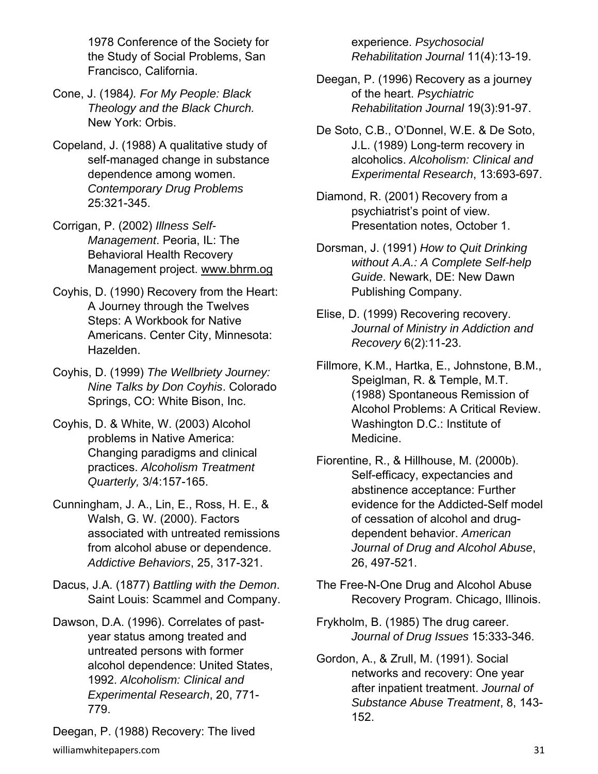1978 Conference of the Society for the Study of Social Problems, San Francisco, California.

- Cone, J. (1984*). For My People: Black Theology and the Black Church.* New York: Orbis.
- Copeland, J. (1988) A qualitative study of self-managed change in substance dependence among women. *Contemporary Drug Problems* 25:321-345.
- Corrigan, P. (2002) *Illness Self-Management*. Peoria, IL: The Behavioral Health Recovery Management project. www.bhrm.og
- Coyhis, D. (1990) Recovery from the Heart: A Journey through the Twelves Steps: A Workbook for Native Americans. Center City, Minnesota: Hazelden.
- Coyhis, D. (1999) *The Wellbriety Journey: Nine Talks by Don Coyhis*. Colorado Springs, CO: White Bison, Inc.
- Coyhis, D. & White, W. (2003) Alcohol problems in Native America: Changing paradigms and clinical practices. *Alcoholism Treatment Quarterly,* 3/4:157-165.
- Cunningham, J. A., Lin, E., Ross, H. E., & Walsh, G. W. (2000). Factors associated with untreated remissions from alcohol abuse or dependence. *Addictive Behaviors*, 25, 317-321.
- Dacus, J.A. (1877) *Battling with the Demon*. Saint Louis: Scammel and Company.
- Dawson, D.A. (1996). Correlates of pastyear status among treated and untreated persons with former alcohol dependence: United States, 1992. *Alcoholism: Clinical and Experimental Research*, 20, 771- 779.

williamwhitepapers.com 31 Deegan, P. (1988) Recovery: The lived

experience. *Psychosocial Rehabilitation Journal* 11(4):13-19.

- Deegan, P. (1996) Recovery as a journey of the heart. *Psychiatric Rehabilitation Journal* 19(3):91-97.
- De Soto, C.B., O'Donnel, W.E. & De Soto, J.L. (1989) Long-term recovery in alcoholics. *Alcoholism: Clinical and Experimental Research*, 13:693-697.
- Diamond, R. (2001) Recovery from a psychiatrist's point of view. Presentation notes, October 1.
- Dorsman, J. (1991) *How to Quit Drinking without A.A.: A Complete Self-help Guide*. Newark, DE: New Dawn Publishing Company.
- Elise, D. (1999) Recovering recovery. *Journal of Ministry in Addiction and Recovery* 6(2):11-23.
- Fillmore, K.M., Hartka, E., Johnstone, B.M., Speiglman, R. & Temple, M.T. (1988) Spontaneous Remission of Alcohol Problems: A Critical Review. Washington D.C.: Institute of Medicine.
- Fiorentine, R., & Hillhouse, M. (2000b). Self-efficacy, expectancies and abstinence acceptance: Further evidence for the Addicted-Self model of cessation of alcohol and drugdependent behavior. *American Journal of Drug and Alcohol Abuse*, 26, 497-521.
- The Free-N-One Drug and Alcohol Abuse Recovery Program. Chicago, Illinois.
- Frykholm, B. (1985) The drug career. *Journal of Drug Issues* 15:333-346.
- Gordon, A., & Zrull, M. (1991). Social networks and recovery: One year after inpatient treatment. *Journal of Substance Abuse Treatment*, 8, 143- 152.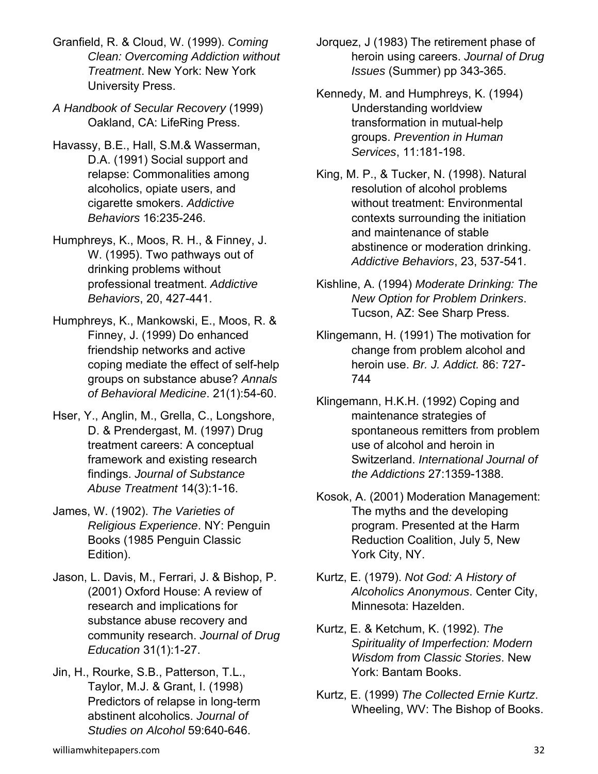- Granfield, R. & Cloud, W. (1999). *Coming Clean: Overcoming Addiction without Treatment*. New York: New York University Press.
- *A Handbook of Secular Recovery* (1999) Oakland, CA: LifeRing Press.
- Havassy, B.E., Hall, S.M.& Wasserman, D.A. (1991) Social support and relapse: Commonalities among alcoholics, opiate users, and cigarette smokers. *Addictive Behaviors* 16:235-246.
- Humphreys, K., Moos, R. H., & Finney, J. W. (1995). Two pathways out of drinking problems without professional treatment. *Addictive Behaviors*, 20, 427-441.
- Humphreys, K., Mankowski, E., Moos, R. & Finney, J. (1999) Do enhanced friendship networks and active coping mediate the effect of self-help groups on substance abuse? *Annals of Behavioral Medicine*. 21(1):54-60.
- Hser, Y., Anglin, M., Grella, C., Longshore, D. & Prendergast, M. (1997) Drug treatment careers: A conceptual framework and existing research findings. *Journal of Substance Abuse Treatment* 14(3):1-16.
- James, W. (1902). *The Varieties of Religious Experience*. NY: Penguin Books (1985 Penguin Classic Edition).
- Jason, L. Davis, M., Ferrari, J. & Bishop, P. (2001) Oxford House: A review of research and implications for substance abuse recovery and community research. *Journal of Drug Education* 31(1):1-27.
- Jin, H., Rourke, S.B., Patterson, T.L., Taylor, M.J. & Grant, I. (1998) Predictors of relapse in long-term abstinent alcoholics. *Journal of Studies on Alcohol* 59:640-646.
- Jorquez, J (1983) The retirement phase of heroin using careers. *Journal of Drug Issues* (Summer) pp 343-365.
- Kennedy, M. and Humphreys, K. (1994) Understanding worldview transformation in mutual-help groups. *Prevention in Human Services*, 11:181-198.
- King, M. P., & Tucker, N. (1998). Natural resolution of alcohol problems without treatment: Environmental contexts surrounding the initiation and maintenance of stable abstinence or moderation drinking. *Addictive Behaviors*, 23, 537-541.
- Kishline, A. (1994) *Moderate Drinking: The New Option for Problem Drinkers*. Tucson, AZ: See Sharp Press.
- Klingemann, H. (1991) The motivation for change from problem alcohol and heroin use. *Br. J. Addict.* 86: 727- 744
- Klingemann, H.K.H. (1992) Coping and maintenance strategies of spontaneous remitters from problem use of alcohol and heroin in Switzerland. *International Journal of the Addictions* 27:1359-1388.
- Kosok, A. (2001) Moderation Management: The myths and the developing program. Presented at the Harm Reduction Coalition, July 5, New York City, NY.
- Kurtz, E. (1979). *Not God: A History of Alcoholics Anonymous*. Center City, Minnesota: Hazelden.
- Kurtz, E. & Ketchum, K. (1992). *The Spirituality of Imperfection: Modern Wisdom from Classic Stories*. New York: Bantam Books.
- Kurtz, E. (1999) *The Collected Ernie Kurtz*. Wheeling, WV: The Bishop of Books.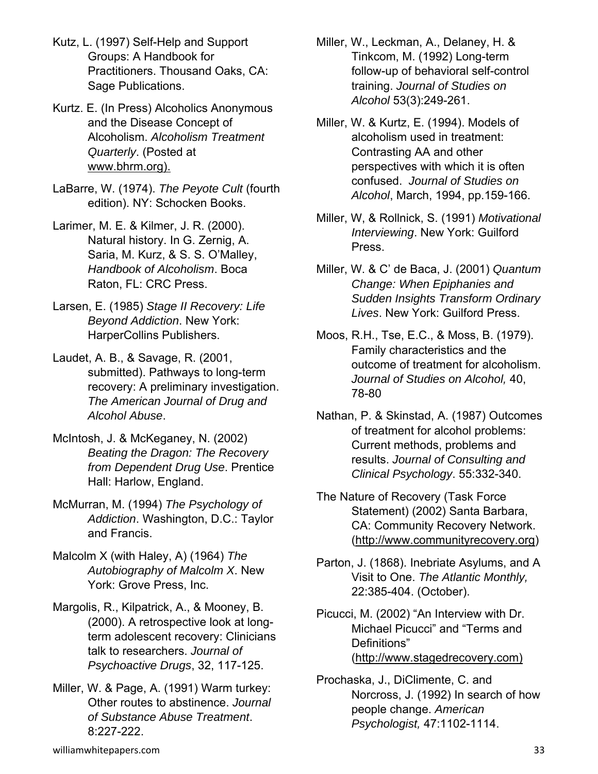- Kutz, L. (1997) Self-Help and Support Groups: A Handbook for Practitioners. Thousand Oaks, CA: Sage Publications.
- Kurtz. E. (In Press) Alcoholics Anonymous and the Disease Concept of Alcoholism. *Alcoholism Treatment Quarterly*. (Posted at www.bhrm.org).
- LaBarre, W. (1974). *The Peyote Cult* (fourth edition). NY: Schocken Books.
- Larimer, M. E. & Kilmer, J. R. (2000). Natural history. In G. Zernig, A. Saria, M. Kurz, & S. S. O'Malley, *Handbook of Alcoholism*. Boca Raton, FL: CRC Press.
- Larsen, E. (1985) *Stage II Recovery: Life Beyond Addiction*. New York: HarperCollins Publishers.
- Laudet, A. B., & Savage, R. (2001, submitted). Pathways to long-term recovery: A preliminary investigation. *The American Journal of Drug and Alcohol Abuse*.
- McIntosh, J. & McKeganey, N. (2002) *Beating the Dragon: The Recovery from Dependent Drug Use*. Prentice Hall: Harlow, England.
- McMurran, M. (1994) *The Psychology of Addiction*. Washington, D.C.: Taylor and Francis.
- Malcolm X (with Haley, A) (1964) *The Autobiography of Malcolm X*. New York: Grove Press, Inc.
- Margolis, R., Kilpatrick, A., & Mooney, B. (2000). A retrospective look at longterm adolescent recovery: Clinicians talk to researchers. *Journal of Psychoactive Drugs*, 32, 117-125.
- Miller, W. & Page, A. (1991) Warm turkey: Other routes to abstinence. *Journal of Substance Abuse Treatment*. 8:227-222.
- Miller, W., Leckman, A., Delaney, H. & Tinkcom, M. (1992) Long-term follow-up of behavioral self-control training. *Journal of Studies on Alcohol* 53(3):249-261.
- Miller, W. & Kurtz, E. (1994). Models of alcoholism used in treatment: Contrasting AA and other perspectives with which it is often confused. *Journal of Studies on Alcohol*, March, 1994, pp.159-166.
- Miller, W, & Rollnick, S. (1991) *Motivational Interviewing*. New York: Guilford Press.
- Miller, W. & C' de Baca, J. (2001) *Quantum Change: When Epiphanies and Sudden Insights Transform Ordinary Lives*. New York: Guilford Press.
- Moos, R.H., Tse, E.C., & Moss, B. (1979). Family characteristics and the outcome of treatment for alcoholism. *Journal of Studies on Alcohol,* 40, 78-80
- Nathan, P. & Skinstad, A. (1987) Outcomes of treatment for alcohol problems: Current methods, problems and results. *Journal of Consulting and Clinical Psychology*. 55:332-340.
- The Nature of Recovery (Task Force Statement) (2002) Santa Barbara, CA: Community Recovery Network. (http://www.communityrecovery.org)
- Parton, J. (1868). Inebriate Asylums, and A Visit to One. *The Atlantic Monthly,* 22:385-404. (October).
- Picucci, M. (2002) "An Interview with Dr. Michael Picucci" and "Terms and Definitions" (http://www.stagedrecovery.com)
- Prochaska, J., DiClimente, C. and Norcross, J. (1992) In search of how people change. *American Psychologist,* 47:1102-1114.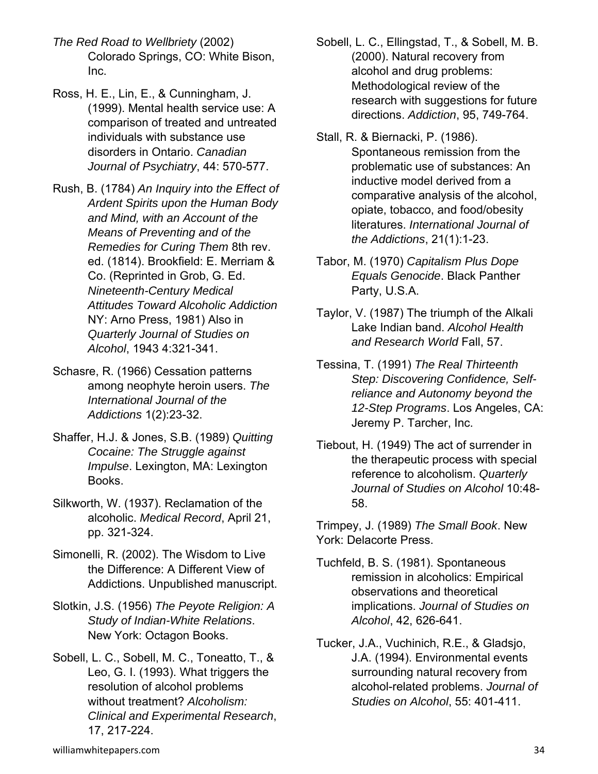- *The Red Road to Wellbriety* (2002) Colorado Springs, CO: White Bison, Inc.
- Ross, H. E., Lin, E., & Cunningham, J. (1999). Mental health service use: A comparison of treated and untreated individuals with substance use disorders in Ontario. *Canadian Journal of Psychiatry*, 44: 570-577.
- Rush, B. (1784) *An Inquiry into the Effect of Ardent Spirits upon the Human Body and Mind, with an Account of the Means of Preventing and of the Remedies for Curing Them* 8th rev. ed. (1814). Brookfield: E. Merriam & Co. (Reprinted in Grob, G. Ed. *Nineteenth-Century Medical Attitudes Toward Alcoholic Addiction* NY: Arno Press, 1981) Also in *Quarterly Journal of Studies on Alcohol*, 1943 4:321-341.
- Schasre, R. (1966) Cessation patterns among neophyte heroin users. *The International Journal of the Addictions* 1(2):23-32.
- Shaffer, H.J. & Jones, S.B. (1989) *Quitting Cocaine: The Struggle against Impulse*. Lexington, MA: Lexington Books.
- Silkworth, W. (1937). Reclamation of the alcoholic. *Medical Record*, April 21, pp. 321-324.
- Simonelli, R. (2002). The Wisdom to Live the Difference: A Different View of Addictions. Unpublished manuscript.
- Slotkin, J.S. (1956) *The Peyote Religion: A Study of Indian-White Relations*. New York: Octagon Books.
- Sobell, L. C., Sobell, M. C., Toneatto, T., & Leo, G. I. (1993). What triggers the resolution of alcohol problems without treatment? *Alcoholism: Clinical and Experimental Research*, 17, 217-224.
- Sobell, L. C., Ellingstad, T., & Sobell, M. B. (2000). Natural recovery from alcohol and drug problems: Methodological review of the research with suggestions for future directions. *Addiction*, 95, 749-764.
- Stall, R. & Biernacki, P. (1986). Spontaneous remission from the problematic use of substances: An inductive model derived from a comparative analysis of the alcohol, opiate, tobacco, and food/obesity literatures. *International Journal of the Addictions*, 21(1):1-23.
- Tabor, M. (1970) *Capitalism Plus Dope Equals Genocide*. Black Panther Party, U.S.A.
- Taylor, V. (1987) The triumph of the Alkali Lake Indian band. *Alcohol Health and Research World* Fall, 57.
- Tessina, T. (1991) *The Real Thirteenth Step: Discovering Confidence, Selfreliance and Autonomy beyond the 12-Step Programs*. Los Angeles, CA: Jeremy P. Tarcher, Inc.
- Tiebout, H. (1949) The act of surrender in the therapeutic process with special reference to alcoholism. *Quarterly Journal of Studies on Alcohol* 10:48- 58.

Trimpey, J. (1989) *The Small Book*. New York: Delacorte Press.

- Tuchfeld, B. S. (1981). Spontaneous remission in alcoholics: Empirical observations and theoretical implications. *Journal of Studies on Alcohol*, 42, 626-641.
- Tucker, J.A., Vuchinich, R.E., & Gladsjo, J.A. (1994). Environmental events surrounding natural recovery from alcohol-related problems. *Journal of Studies on Alcohol*, 55: 401-411.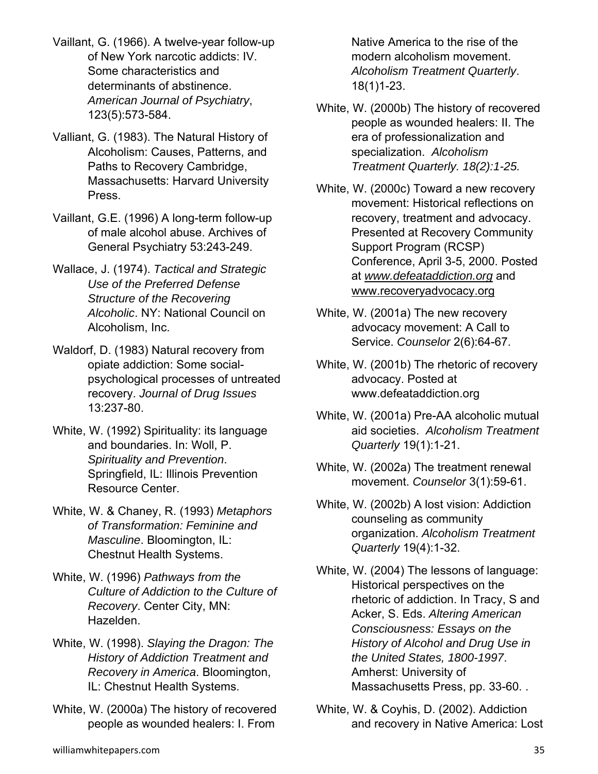- Vaillant, G. (1966). A twelve-year follow-up of New York narcotic addicts: IV. Some characteristics and determinants of abstinence. *American Journal of Psychiatry*, 123(5):573-584.
- Valliant, G. (1983). The Natural History of Alcoholism: Causes, Patterns, and Paths to Recovery Cambridge, Massachusetts: Harvard University Press.
- Vaillant, G.E. (1996) A long-term follow-up of male alcohol abuse. Archives of General Psychiatry 53:243-249.
- Wallace, J. (1974). *Tactical and Strategic Use of the Preferred Defense Structure of the Recovering Alcoholic*. NY: National Council on Alcoholism, Inc.
- Waldorf, D. (1983) Natural recovery from opiate addiction: Some socialpsychological processes of untreated recovery. *Journal of Drug Issues* 13:237-80.
- White, W. (1992) Spirituality: its language and boundaries. In: Woll, P. *Spirituality and Prevention*. Springfield, IL: Illinois Prevention Resource Center.
- White, W. & Chaney, R. (1993) *Metaphors of Transformation: Feminine and Masculine*. Bloomington, IL: Chestnut Health Systems.
- White, W. (1996) *Pathways from the Culture of Addiction to the Culture of Recovery*. Center City, MN: Hazelden.
- White, W. (1998). *Slaying the Dragon: The History of Addiction Treatment and Recovery in America*. Bloomington, IL: Chestnut Health Systems.
- White, W. (2000a) The history of recovered people as wounded healers: I. From

Native America to the rise of the modern alcoholism movement. *Alcoholism Treatment Quarterly*. 18(1)1-23.

- White, W. (2000b) The history of recovered people as wounded healers: II. The era of professionalization and specialization. *Alcoholism Treatment Quarterly. 18(2):1-25.*
- White, W. (2000c) Toward a new recovery movement: Historical reflections on recovery, treatment and advocacy. Presented at Recovery Community Support Program (RCSP) Conference, April 3-5, 2000. Posted at *www.defeataddiction.org* and www.recoveryadvocacy.org
- White, W. (2001a) The new recovery advocacy movement: A Call to Service. *Counselor* 2(6):64-67.
- White, W. (2001b) The rhetoric of recovery advocacy. Posted at www.defeataddiction.org
- White, W. (2001a) Pre-AA alcoholic mutual aid societies. *Alcoholism Treatment Quarterly* 19(1):1-21.
- White, W. (2002a) The treatment renewal movement. *Counselor* 3(1):59-61.
- White, W. (2002b) A lost vision: Addiction counseling as community organization. *Alcoholism Treatment Quarterly* 19(4):1-32.
- White, W. (2004) The lessons of language: Historical perspectives on the rhetoric of addiction. In Tracy, S and Acker, S. Eds. *Altering American Consciousness: Essays on the History of Alcohol and Drug Use in the United States, 1800-1997*. Amherst: University of Massachusetts Press, pp. 33-60. .
- White, W. & Coyhis, D. (2002). Addiction and recovery in Native America: Lost